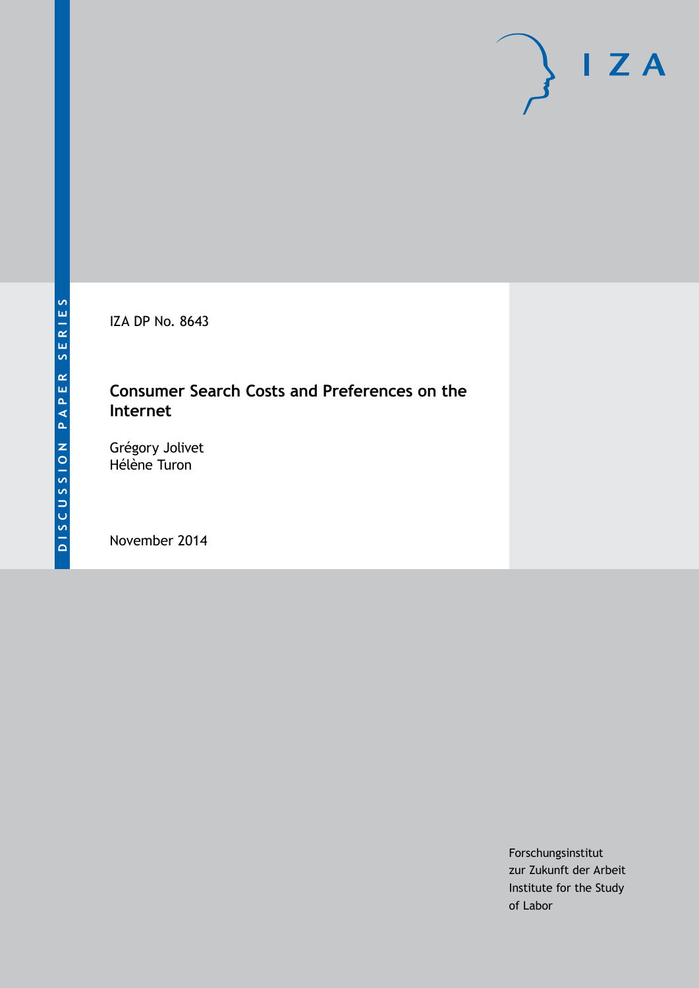IZA DP No. 8643

## **Consumer Search Costs and Preferences on the Internet**

Grégory Jolivet Hélène Turon

November 2014

Forschungsinstitut zur Zukunft der Arbeit Institute for the Study of Labor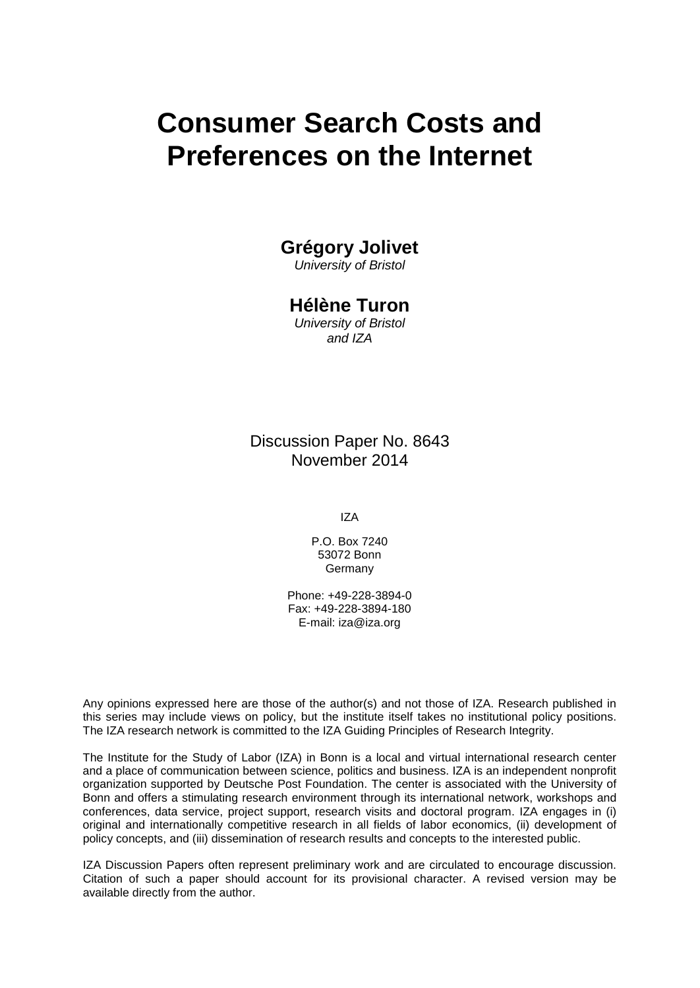# **Consumer Search Costs and Preferences on the Internet**

## **Grégory Jolivet**

*University of Bristol*

## **Hélène Turon**

*University of Bristol and IZA*

Discussion Paper No. 8643 November 2014

IZA

P.O. Box 7240 53072 Bonn Germany

Phone: +49-228-3894-0 Fax: +49-228-3894-180 E-mail: [iza@iza.org](mailto:iza@iza.org)

Any opinions expressed here are those of the author(s) and not those of IZA. Research published in this series may include views on policy, but the institute itself takes no institutional policy positions. The IZA research network is committed to the IZA Guiding Principles of Research Integrity.

The Institute for the Study of Labor (IZA) in Bonn is a local and virtual international research center and a place of communication between science, politics and business. IZA is an independent nonprofit organization supported by Deutsche Post Foundation. The center is associated with the University of Bonn and offers a stimulating research environment through its international network, workshops and conferences, data service, project support, research visits and doctoral program. IZA engages in (i) original and internationally competitive research in all fields of labor economics, (ii) development of policy concepts, and (iii) dissemination of research results and concepts to the interested public.

<span id="page-1-0"></span>IZA Discussion Papers often represent preliminary work and are circulated to encourage discussion. Citation of such a paper should account for its provisional character. A revised version may be available directly from the author.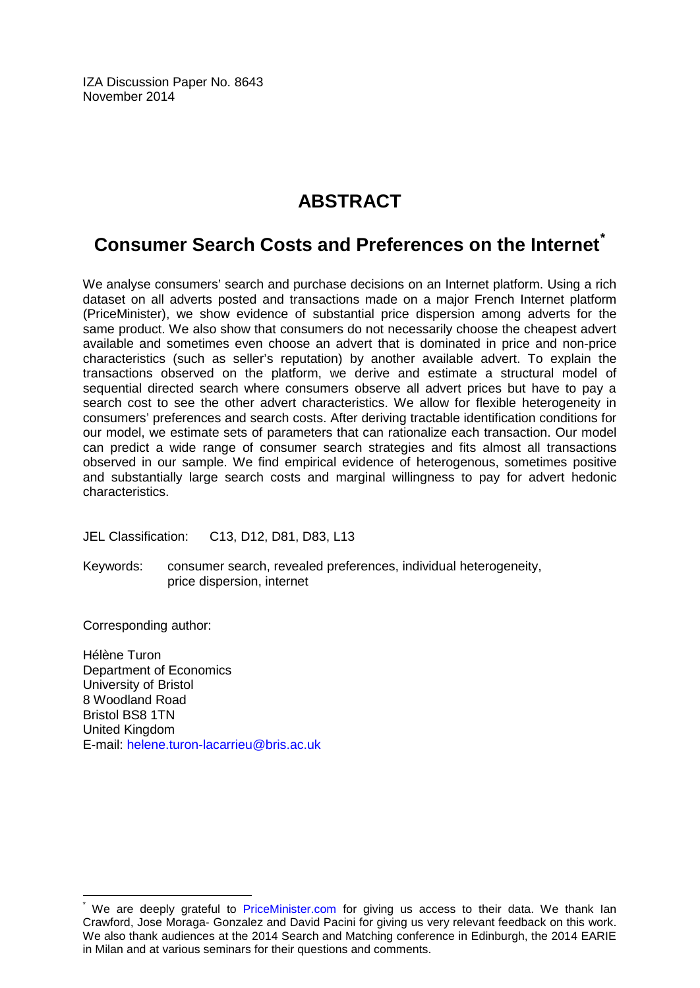IZA Discussion Paper No. 8643 November 2014

## **ABSTRACT**

## **Consumer Search Costs and Preferences on the Internet**<sup> $\hat{ }$ </sup>

We analyse consumers' search and purchase decisions on an Internet platform. Using a rich dataset on all adverts posted and transactions made on a major French Internet platform (PriceMinister), we show evidence of substantial price dispersion among adverts for the same product. We also show that consumers do not necessarily choose the cheapest advert available and sometimes even choose an advert that is dominated in price and non-price characteristics (such as seller's reputation) by another available advert. To explain the transactions observed on the platform, we derive and estimate a structural model of sequential directed search where consumers observe all advert prices but have to pay a search cost to see the other advert characteristics. We allow for flexible heterogeneity in consumers' preferences and search costs. After deriving tractable identification conditions for our model, we estimate sets of parameters that can rationalize each transaction. Our model can predict a wide range of consumer search strategies and fits almost all transactions observed in our sample. We find empirical evidence of heterogenous, sometimes positive and substantially large search costs and marginal willingness to pay for advert hedonic characteristics.

JEL Classification: C13, D12, D81, D83, L13

Keywords: consumer search, revealed preferences, individual heterogeneity, price dispersion, internet

Corresponding author:

Hélène Turon Department of Economics University of Bristol 8 Woodland Road Bristol BS8 1TN United Kingdom E-mail: [helene.turon-lacarrieu@bris.ac.uk](mailto:helene.turon-lacarrieu@bris.ac.uk)

We are deeply grateful to [PriceMinister.com](http://www.priceminister.com/) for giving us access to their data. We thank Ian Crawford, Jose Moraga- Gonzalez and David Pacini for giving us very relevant feedback on this work. We also thank audiences at the 2014 Search and Matching conference in Edinburgh, the 2014 EARIE in Milan and at various seminars for their questions and comments.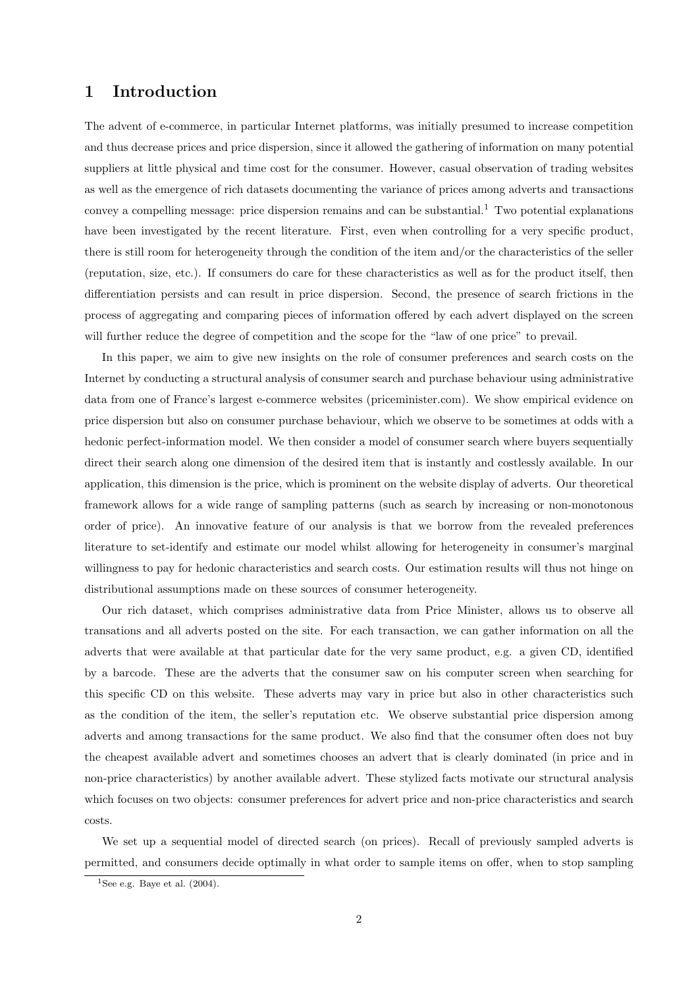## 1 Introduction

The advent of e-commerce, in particular Internet platforms, was initially presumed to increase competition and thus decrease prices and price dispersion, since it allowed the gathering of information on many potential suppliers at little physical and time cost for the consumer. However, casual observation of trading websites as well as the emergence of rich datasets documenting the variance of prices among adverts and transactions convey a compelling message: price dispersion remains and can be substantial.<sup>[1](#page-3-0)</sup> Two potential explanations have been investigated by the recent literature. First, even when controlling for a very specific product, there is still room for heterogeneity through the condition of the item and/or the characteristics of the seller (reputation, size, etc.). If consumers do care for these characteristics as well as for the product itself, then differentiation persists and can result in price dispersion. Second, the presence of search frictions in the process of aggregating and comparing pieces of information offered by each advert displayed on the screen will further reduce the degree of competition and the scope for the "law of one price" to prevail.

In this paper, we aim to give new insights on the role of consumer preferences and search costs on the Internet by conducting a structural analysis of consumer search and purchase behaviour using administrative data from one of France's largest e-commerce websites (priceminister.com). We show empirical evidence on price dispersion but also on consumer purchase behaviour, which we observe to be sometimes at odds with a hedonic perfect-information model. We then consider a model of consumer search where buyers sequentially direct their search along one dimension of the desired item that is instantly and costlessly available. In our application, this dimension is the price, which is prominent on the website display of adverts. Our theoretical framework allows for a wide range of sampling patterns (such as search by increasing or non-monotonous order of price). An innovative feature of our analysis is that we borrow from the revealed preferences literature to set-identify and estimate our model whilst allowing for heterogeneity in consumer's marginal willingness to pay for hedonic characteristics and search costs. Our estimation results will thus not hinge on distributional assumptions made on these sources of consumer heterogeneity.

Our rich dataset, which comprises administrative data from Price Minister, allows us to observe all transations and all adverts posted on the site. For each transaction, we can gather information on all the adverts that were available at that particular date for the very same product, e.g. a given CD, identified by a barcode. These are the adverts that the consumer saw on his computer screen when searching for this specific CD on this website. These adverts may vary in price but also in other characteristics such as the condition of the item, the seller's reputation etc. We observe substantial price dispersion among adverts and among transactions for the same product. We also find that the consumer often does not buy the cheapest available advert and sometimes chooses an advert that is clearly dominated (in price and in non-price characteristics) by another available advert. These stylized facts motivate our structural analysis which focuses on two objects: consumer preferences for advert price and non-price characteristics and search costs.

We set up a sequential model of directed search (on prices). Recall of previously sampled adverts is permitted, and consumers decide optimally in what order to sample items on offer, when to stop sampling

<span id="page-3-0"></span><sup>&</sup>lt;sup>1</sup>See e.g. Baye et al.  $(2004)$ .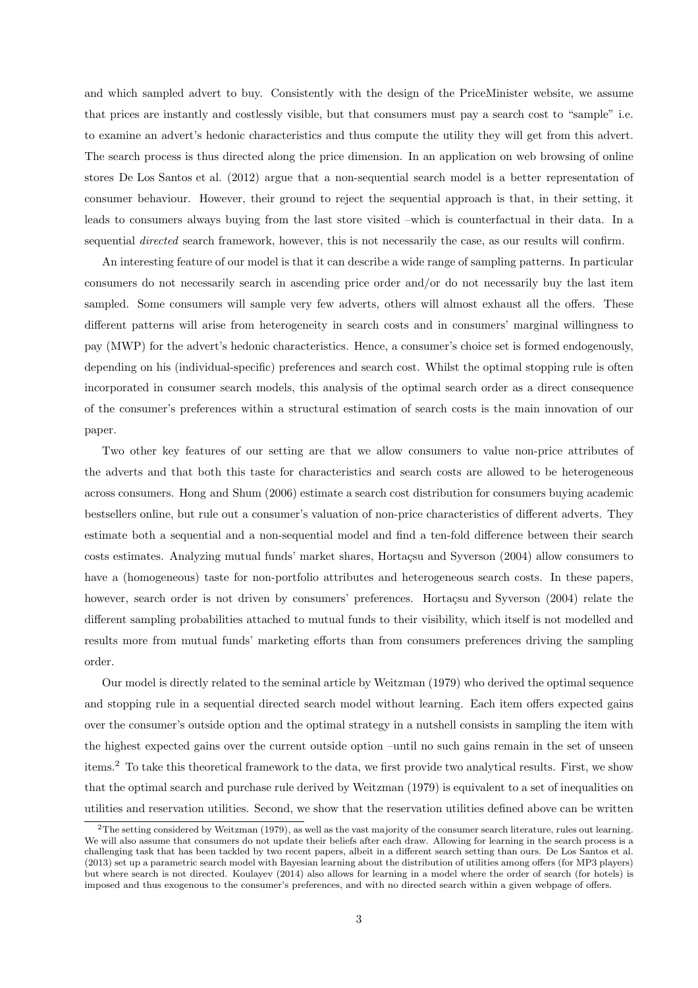and which sampled advert to buy. Consistently with the design of the PriceMinister website, we assume that prices are instantly and costlessly visible, but that consumers must pay a search cost to "sample" i.e. to examine an advert's hedonic characteristics and thus compute the utility they will get from this advert. The search process is thus directed along the price dimension. In an application on web browsing of online stores [De Los Santos et al. \(2012](#page-37-1)) argue that a non-sequential search model is a better representation of consumer behaviour. However, their ground to reject the sequential approach is that, in their setting, it leads to consumers always buying from the last store visited –which is counterfactual in their data. In a sequential *directed* search framework, however, this is not necessarily the case, as our results will confirm.

An interesting feature of our model is that it can describe a wide range of sampling patterns. In particular consumers do not necessarily search in ascending price order and/or do not necessarily buy the last item sampled. Some consumers will sample very few adverts, others will almost exhaust all the offers. These different patterns will arise from heterogeneity in search costs and in consumers' marginal willingness to pay (MWP) for the advert's hedonic characteristics. Hence, a consumer's choice set is formed endogenously, depending on his (individual-specific) preferences and search cost. Whilst the optimal stopping rule is often incorporated in consumer search models, this analysis of the optimal search order as a direct consequence of the consumer's preferences within a structural estimation of search costs is the main innovation of our paper.

Two other key features of our setting are that we allow consumers to value non-price attributes of the adverts and that both this taste for characteristics and search costs are allowed to be heterogeneous across consumers. [Hong and Shum \(2006](#page-37-2)) estimate a search cost distribution for consumers buying academic bestsellers online, but rule out a consumer's valuation of non-price characteristics of different adverts. They estimate both a sequential and a non-sequential model and find a ten-fold difference between their search costs estimates. Analyzing mutual funds' market shares, Hortaçsu and Syverson (2004) allow consumers to have a (homogeneous) taste for non-portfolio attributes and heterogeneous search costs. In these papers, however, search order is not driven by consumers' preferences. Hortaçsu and Syverson (2004) relate the different sampling probabilities attached to mutual funds to their visibility, which itself is not modelled and results more from mutual funds' marketing efforts than from consumers preferences driving the sampling order.

Our model is directly related to the seminal article by [Weitzman \(1979\)](#page-37-4) who derived the optimal sequence and stopping rule in a sequential directed search model without learning. Each item offers expected gains over the consumer's outside option and the optimal strategy in a nutshell consists in sampling the item with the highest expected gains over the current outside option –until no such gains remain in the set of unseen items.[2](#page-4-0) To take this theoretical framework to the data, we first provide two analytical results. First, we show that the optimal search and purchase rule derived by [Weitzman \(1979\)](#page-37-4) is equivalent to a set of inequalities on utilities and reservation utilities. Second, we show that the reservation utilities defined above can be written

<span id="page-4-0"></span><sup>2</sup>The setting considered by [Weitzman \(1979](#page-37-4)), as well as the vast majority of the consumer search literature, rules out learning. We will also assume that consumers do not update their beliefs after each draw. Allowing for learning in the search process is a challenging task that has been tackled by two recent papers, albeit in a different search setting than ours. [De Los Santos et al.](#page-37-5) [\(2013](#page-37-5)) set up a parametric search model with Bayesian learning about the distribution of utilities among offers (for MP3 players) but where search is not directed. [Koulayev \(2014\)](#page-37-6) also allows for learning in a model where the order of search (for hotels) is imposed and thus exogenous to the consumer's preferences, and with no directed search within a given webpage of offers.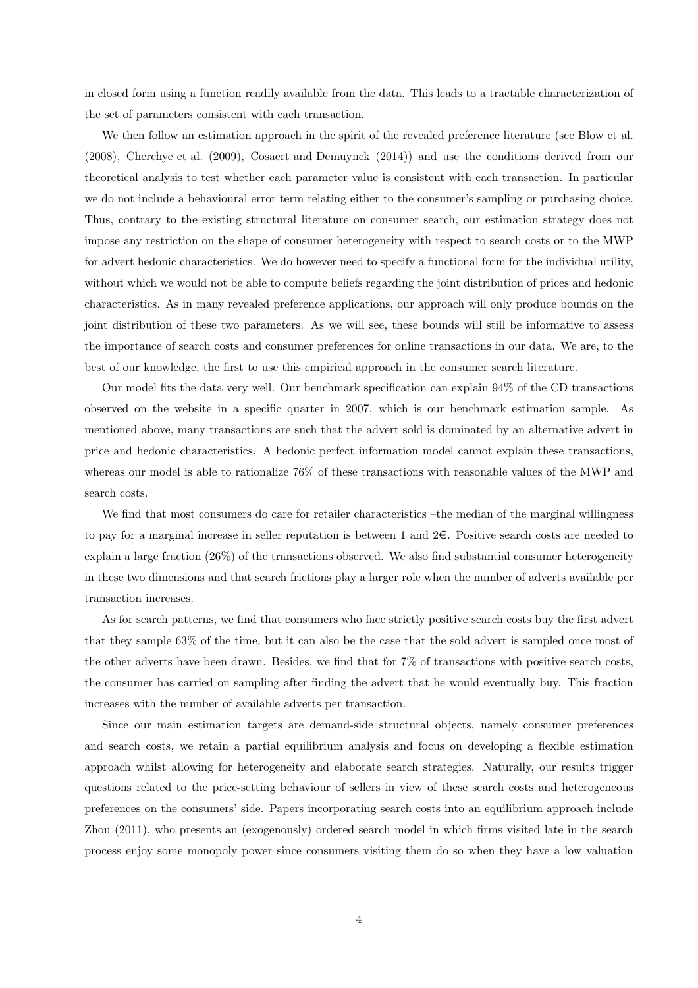in closed form using a function readily available from the data. This leads to a tractable characterization of the set of parameters consistent with each transaction.

We then follow an estimation approach in the spirit of the revealed preference literature (see [Blow et al.](#page-37-7) [\(2008\)](#page-37-7), [Cherchye et al. \(2009\)](#page-37-8), [Cosaert and Demuynck \(2014\)](#page-37-9)) and use the conditions derived from our theoretical analysis to test whether each parameter value is consistent with each transaction. In particular we do not include a behavioural error term relating either to the consumer's sampling or purchasing choice. Thus, contrary to the existing structural literature on consumer search, our estimation strategy does not impose any restriction on the shape of consumer heterogeneity with respect to search costs or to the MWP for advert hedonic characteristics. We do however need to specify a functional form for the individual utility, without which we would not be able to compute beliefs regarding the joint distribution of prices and hedonic characteristics. As in many revealed preference applications, our approach will only produce bounds on the joint distribution of these two parameters. As we will see, these bounds will still be informative to assess the importance of search costs and consumer preferences for online transactions in our data. We are, to the best of our knowledge, the first to use this empirical approach in the consumer search literature.

Our model fits the data very well. Our benchmark specification can explain 94% of the CD transactions observed on the website in a specific quarter in 2007, which is our benchmark estimation sample. As mentioned above, many transactions are such that the advert sold is dominated by an alternative advert in price and hedonic characteristics. A hedonic perfect information model cannot explain these transactions, whereas our model is able to rationalize 76% of these transactions with reasonable values of the MWP and search costs.

We find that most consumers do care for retailer characteristics –the median of the marginal willingness to pay for a marginal increase in seller reputation is between 1 and  $2\epsilon$ . Positive search costs are needed to explain a large fraction (26%) of the transactions observed. We also find substantial consumer heterogeneity in these two dimensions and that search frictions play a larger role when the number of adverts available per transaction increases.

As for search patterns, we find that consumers who face strictly positive search costs buy the first advert that they sample 63% of the time, but it can also be the case that the sold advert is sampled once most of the other adverts have been drawn. Besides, we find that for 7% of transactions with positive search costs, the consumer has carried on sampling after finding the advert that he would eventually buy. This fraction increases with the number of available adverts per transaction.

Since our main estimation targets are demand-side structural objects, namely consumer preferences and search costs, we retain a partial equilibrium analysis and focus on developing a flexible estimation approach whilst allowing for heterogeneity and elaborate search strategies. Naturally, our results trigger questions related to the price-setting behaviour of sellers in view of these search costs and heterogeneous preferences on the consumers' side. Papers incorporating search costs into an equilibrium approach include [Zhou \(2011\)](#page-37-10), who presents an (exogenously) ordered search model in which firms visited late in the search process enjoy some monopoly power since consumers visiting them do so when they have a low valuation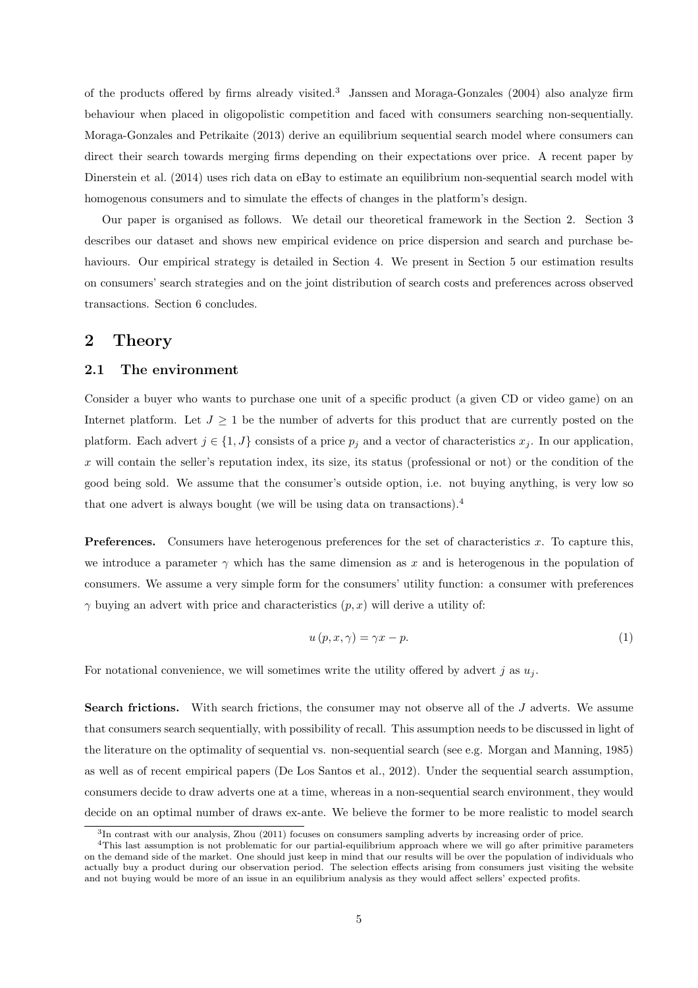of the products offered by firms already visited.[3](#page-6-0) [Janssen and Moraga-Gonzales \(2004\)](#page-37-11) also analyze firm behaviour when placed in oligopolistic competition and faced with consumers searching non-sequentially. [Moraga-Gonzales and Petrikaite \(2013](#page-37-12)) derive an equilibrium sequential search model where consumers can direct their search towards merging firms depending on their expectations over price. A recent paper by [Dinerstein et al. \(2014](#page-37-13)) uses rich data on eBay to estimate an equilibrium non-sequential search model with homogenous consumers and to simulate the effects of changes in the platform's design.

Our paper is organised as follows. We detail our theoretical framework in the Section [2.](#page-6-1) Section [3](#page-13-0) describes our dataset and shows new empirical evidence on price dispersion and search and purchase be-haviours. Our empirical strategy is detailed in Section [4.](#page-20-0) We present in Section [5](#page-25-0) our estimation results on consumers' search strategies and on the joint distribution of search costs and preferences across observed transactions. Section [6](#page-36-0) concludes.

### <span id="page-6-1"></span>2 Theory

#### 2.1 The environment

Consider a buyer who wants to purchase one unit of a specific product (a given CD or video game) on an Internet platform. Let  $J \geq 1$  be the number of adverts for this product that are currently posted on the platform. Each advert  $j \in \{1, J\}$  consists of a price  $p_j$  and a vector of characteristics  $x_j$ . In our application, x will contain the seller's reputation index, its size, its status (professional or not) or the condition of the good being sold. We assume that the consumer's outside option, i.e. not buying anything, is very low so that one advert is always bought (we will be using data on transactions).[4](#page-6-2)

**Preferences.** Consumers have heterogenous preferences for the set of characteristics x. To capture this, we introduce a parameter  $\gamma$  which has the same dimension as x and is heterogenous in the population of consumers. We assume a very simple form for the consumers' utility function: a consumer with preferences  $\gamma$  buying an advert with price and characteristics  $(p, x)$  will derive a utility of:

<span id="page-6-3"></span>
$$
u(p, x, \gamma) = \gamma x - p. \tag{1}
$$

For notational convenience, we will sometimes write the utility offered by advert j as  $u_i$ .

Search frictions. With search frictions, the consumer may not observe all of the J adverts. We assume that consumers search sequentially, with possibility of recall. This assumption needs to be discussed in light of the literature on the optimality of sequential vs. non-sequential search (see e.g. [Morgan and Manning, 1985](#page-37-14)) as well as of recent empirical papers [\(De Los Santos et al.](#page-37-1), [2012\)](#page-37-1). Under the sequential search assumption, consumers decide to draw adverts one at a time, whereas in a non-sequential search environment, they would decide on an optimal number of draws ex-ante. We believe the former to be more realistic to model search

<span id="page-6-0"></span><sup>3</sup> In contrast with our analysis, [Zhou \(2011\)](#page-37-10) focuses on consumers sampling adverts by increasing order of price.

<span id="page-6-2"></span><sup>&</sup>lt;sup>4</sup>This last assumption is not problematic for our partial-equilibrium approach where we will go after primitive parameters on the demand side of the market. One should just keep in mind that our results will be over the population of individuals who actually buy a product during our observation period. The selection effects arising from consumers just visiting the website and not buying would be more of an issue in an equilibrium analysis as they would affect sellers' expected profits.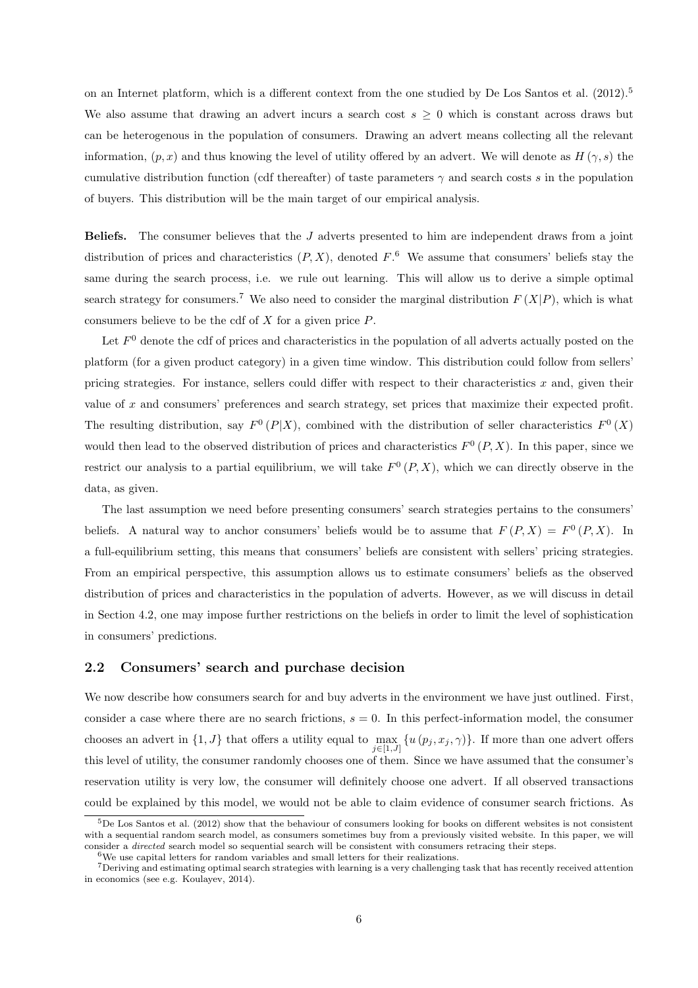on an Internet platform, which is a different context from the one studied by [De Los Santos et al. \(2012\)](#page-37-1).<sup>[5](#page-7-0)</sup> We also assume that drawing an advert incurs a search cost  $s \geq 0$  which is constant across draws but can be heterogenous in the population of consumers. Drawing an advert means collecting all the relevant information,  $(p, x)$  and thus knowing the level of utility offered by an advert. We will denote as  $H(\gamma, s)$  the cumulative distribution function (cdf thereafter) of taste parameters  $\gamma$  and search costs s in the population of buyers. This distribution will be the main target of our empirical analysis.

Beliefs. The consumer believes that the J adverts presented to him are independent draws from a joint distribution of prices and characteristics  $(P, X)$ , denoted  $F$ .<sup>[6](#page-7-1)</sup> We assume that consumers' beliefs stay the same during the search process, i.e. we rule out learning. This will allow us to derive a simple optimal search strategy for consumers.<sup>[7](#page-7-2)</sup> We also need to consider the marginal distribution  $F(X|P)$ , which is what consumers believe to be the cdf of  $X$  for a given price  $P$ .

Let  $F<sup>0</sup>$  denote the cdf of prices and characteristics in the population of all adverts actually posted on the platform (for a given product category) in a given time window. This distribution could follow from sellers' pricing strategies. For instance, sellers could differ with respect to their characteristics  $x$  and, given their value of x and consumers' preferences and search strategy, set prices that maximize their expected profit. The resulting distribution, say  $F^0(P|X)$ , combined with the distribution of seller characteristics  $F^0(X)$ would then lead to the observed distribution of prices and characteristics  $F^0(P, X)$ . In this paper, since we restrict our analysis to a partial equilibrium, we will take  $F^0(P, X)$ , which we can directly observe in the data, as given.

The last assumption we need before presenting consumers' search strategies pertains to the consumers' beliefs. A natural way to anchor consumers' beliefs would be to assume that  $F(P, X) = F^0(P, X)$ . In a full-equilibrium setting, this means that consumers' beliefs are consistent with sellers' pricing strategies. From an empirical perspective, this assumption allows us to estimate consumers' beliefs as the observed distribution of prices and characteristics in the population of adverts. However, as we will discuss in detail in Section [4.2,](#page-23-0) one may impose further restrictions on the beliefs in order to limit the level of sophistication in consumers' predictions.

#### 2.2 Consumers' search and purchase decision

We now describe how consumers search for and buy adverts in the environment we have just outlined. First, consider a case where there are no search frictions,  $s = 0$ . In this perfect-information model, the consumer chooses an advert in  $\{1, J\}$  that offers a utility equal to  $\max_{j \in [1, J]} \{u(p_j, x_j, \gamma)\}\.$  If more than one advert offers this level of utility, the consumer randomly chooses one of them. Since we have assumed that the consumer's reservation utility is very low, the consumer will definitely choose one advert. If all observed transactions could be explained by this model, we would not be able to claim evidence of consumer search frictions. As

<span id="page-7-0"></span> $5$ [De Los Santos et al. \(2012\)](#page-37-1) show that the behaviour of consumers looking for books on different websites is not consistent with a sequential random search model, as consumers sometimes buy from a previously visited website. In this paper, we will consider a *directed* search model so sequential search will be consistent with consumers retracing their steps.

<span id="page-7-1"></span> $6W_{\text{e}}$  use capital letters for random variables and small letters for their realizations.

<span id="page-7-2"></span><sup>7</sup>Deriving and estimating optimal search strategies with learning is a very challenging task that has recently received attention in economics (see e.g. [Koulayev, 2014\)](#page-37-6).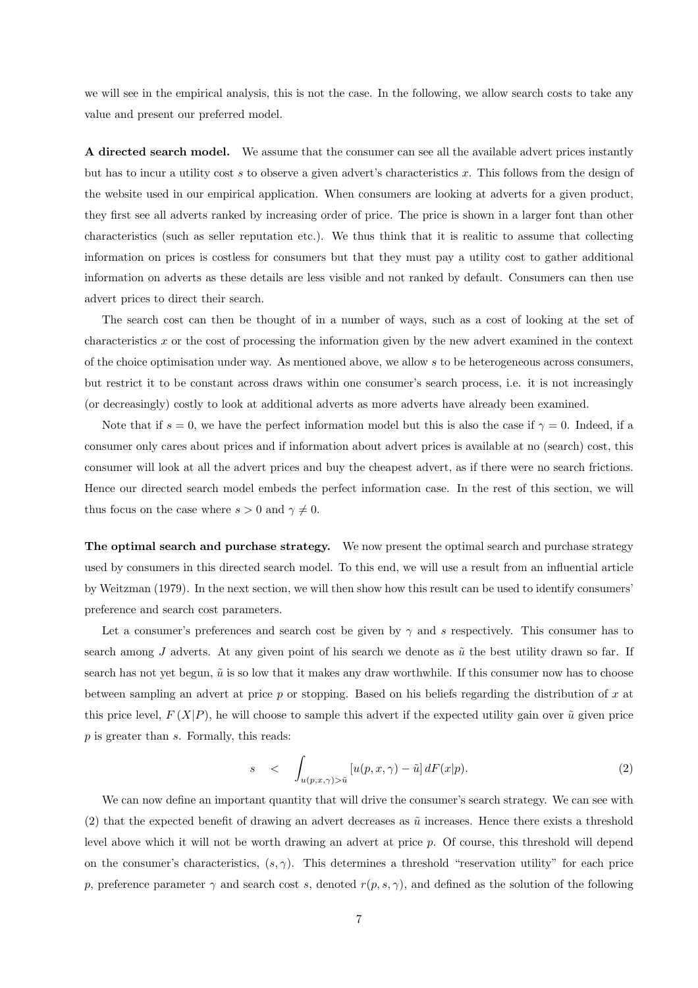we will see in the empirical analysis, this is not the case. In the following, we allow search costs to take any value and present our preferred model.

A directed search model. We assume that the consumer can see all the available advert prices instantly but has to incur a utility cost s to observe a given advert's characteristics  $x$ . This follows from the design of the website used in our empirical application. When consumers are looking at adverts for a given product, they first see all adverts ranked by increasing order of price. The price is shown in a larger font than other characteristics (such as seller reputation etc.). We thus think that it is realitic to assume that collecting information on prices is costless for consumers but that they must pay a utility cost to gather additional information on adverts as these details are less visible and not ranked by default. Consumers can then use advert prices to direct their search.

The search cost can then be thought of in a number of ways, such as a cost of looking at the set of characteristics x or the cost of processing the information given by the new advert examined in the context of the choice optimisation under way. As mentioned above, we allow s to be heterogeneous across consumers, but restrict it to be constant across draws within one consumer's search process, i.e. it is not increasingly (or decreasingly) costly to look at additional adverts as more adverts have already been examined.

Note that if  $s = 0$ , we have the perfect information model but this is also the case if  $\gamma = 0$ . Indeed, if a consumer only cares about prices and if information about advert prices is available at no (search) cost, this consumer will look at all the advert prices and buy the cheapest advert, as if there were no search frictions. Hence our directed search model embeds the perfect information case. In the rest of this section, we will thus focus on the case where  $s > 0$  and  $\gamma \neq 0$ .

The optimal search and purchase strategy. We now present the optimal search and purchase strategy used by consumers in this directed search model. To this end, we will use a result from an influential article by [Weitzman \(1979\)](#page-37-4). In the next section, we will then show how this result can be used to identify consumers' preference and search cost parameters.

Let a consumer's preferences and search cost be given by  $\gamma$  and s respectively. This consumer has to search among J adverts. At any given point of his search we denote as  $\tilde{u}$  the best utility drawn so far. If search has not yet begun,  $\tilde{u}$  is so low that it makes any draw worthwhile. If this consumer now has to choose between sampling an advert at price  $p$  or stopping. Based on his beliefs regarding the distribution of  $x$  at this price level,  $F(X|P)$ , he will choose to sample this advert if the expected utility gain over  $\tilde{u}$  given price p is greater than s. Formally, this reads:

<span id="page-8-0"></span>
$$
s \quad < \quad \int_{u(p,x,\gamma) > \tilde{u}} \left[ u(p,x,\gamma) - \tilde{u} \right] dF(x|p). \tag{2}
$$

We can now define an important quantity that will drive the consumer's search strategy. We can see with [\(2\)](#page-8-0) that the expected benefit of drawing an advert decreases as  $\tilde{u}$  increases. Hence there exists a threshold level above which it will not be worth drawing an advert at price p. Of course, this threshold will depend on the consumer's characteristics,  $(s, \gamma)$ . This determines a threshold "reservation utility" for each price p, preference parameter  $\gamma$  and search cost s, denoted  $r(p, s, \gamma)$ , and defined as the solution of the following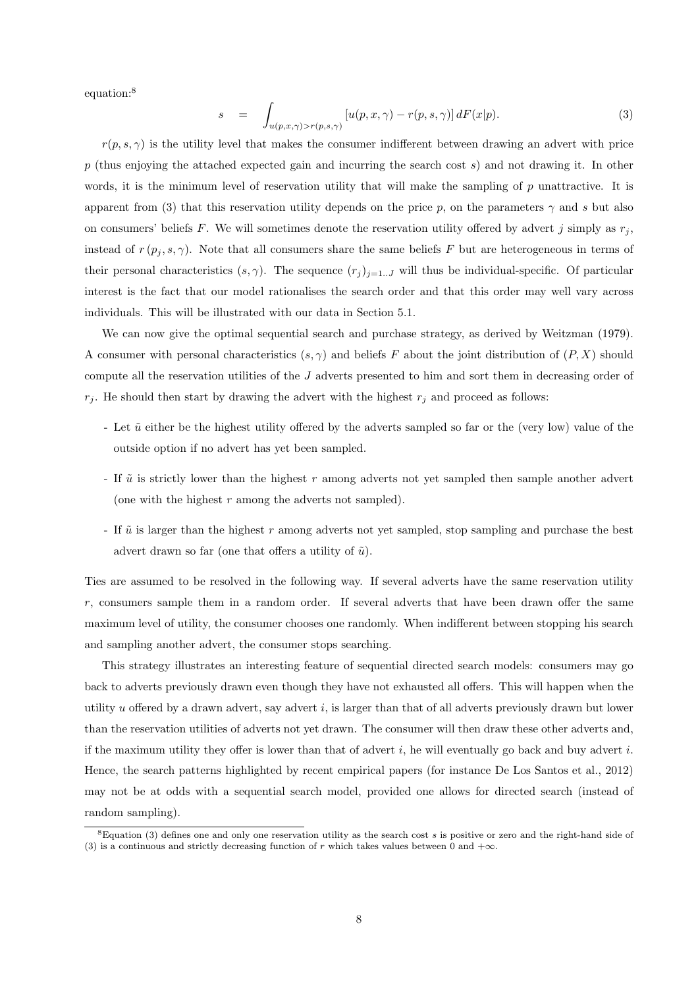equation:[8](#page-9-0)

 $\mathcal{S}_{\mathcal{S}}$ 

<span id="page-9-1"></span>
$$
= \int_{u(p,x,\gamma)>r(p,s,\gamma)} \left[ u(p,x,\gamma) - r(p,s,\gamma) \right] dF(x|p). \tag{3}
$$

 $r(p, s, \gamma)$  is the utility level that makes the consumer indifferent between drawing an advert with price  $p$  (thus enjoying the attached expected gain and incurring the search cost  $s$ ) and not drawing it. In other words, it is the minimum level of reservation utility that will make the sampling of  $p$  unattractive. It is apparent from [\(3\)](#page-9-1) that this reservation utility depends on the price p, on the parameters  $\gamma$  and s but also on consumers' beliefs F. We will sometimes denote the reservation utility offered by advert j simply as  $r_i$ , instead of  $r(p_i, s, \gamma)$ . Note that all consumers share the same beliefs F but are heterogeneous in terms of their personal characteristics  $(s, \gamma)$ . The sequence  $(r_j)_{j=1...J}$  will thus be individual-specific. Of particular interest is the fact that our model rationalises the search order and that this order may well vary across individuals. This will be illustrated with our data in Section [5.1.](#page-25-1)

We can now give the optimal sequential search and purchase strategy, as derived by [Weitzman \(1979](#page-37-4)). A consumer with personal characteristics  $(s, \gamma)$  and beliefs F about the joint distribution of  $(P, X)$  should compute all the reservation utilities of the J adverts presented to him and sort them in decreasing order of  $r_j$ . He should then start by drawing the advert with the highest  $r_j$  and proceed as follows:

- Let  $\tilde{u}$  either be the highest utility offered by the adverts sampled so far or the (very low) value of the outside option if no advert has yet been sampled.
- If  $\tilde{u}$  is strictly lower than the highest r among adverts not yet sampled then sample another advert (one with the highest  $r$  among the adverts not sampled).
- If  $\tilde{u}$  is larger than the highest r among adverts not yet sampled, stop sampling and purchase the best advert drawn so far (one that offers a utility of  $\tilde{u}$ ).

Ties are assumed to be resolved in the following way. If several adverts have the same reservation utility r, consumers sample them in a random order. If several adverts that have been drawn offer the same maximum level of utility, the consumer chooses one randomly. When indifferent between stopping his search and sampling another advert, the consumer stops searching.

This strategy illustrates an interesting feature of sequential directed search models: consumers may go back to adverts previously drawn even though they have not exhausted all offers. This will happen when the utility u offered by a drawn advert, say advert  $i$ , is larger than that of all adverts previously drawn but lower than the reservation utilities of adverts not yet drawn. The consumer will then draw these other adverts and, if the maximum utility they offer is lower than that of advert  $i$ , he will eventually go back and buy advert  $i$ . Hence, the search patterns highlighted by recent empirical papers (for instance [De Los Santos et al., 2012](#page-37-1)) may not be at odds with a sequential search model, provided one allows for directed search (instead of random sampling).

<span id="page-9-0"></span> ${}^{8}$ Equation [\(3\)](#page-9-1) defines one and only one reservation utility as the search cost s is positive or zero and the right-hand side of [\(3\)](#page-9-1) is a continuous and strictly decreasing function of r which takes values between 0 and  $+\infty$ .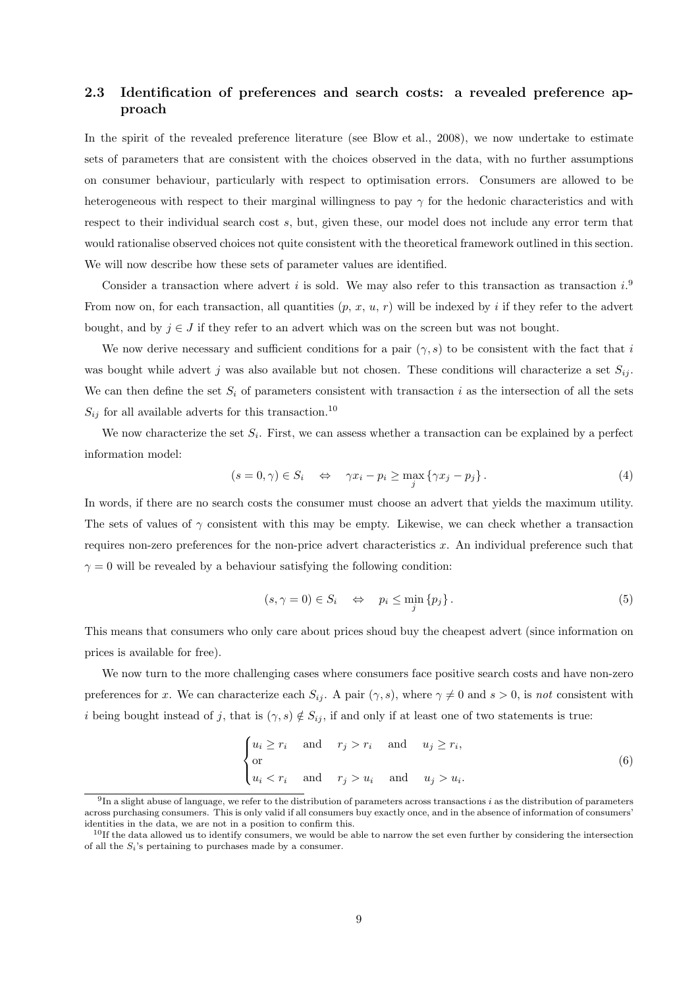### 2.3 Identification of preferences and search costs: a revealed preference approach

In the spirit of the revealed preference literature (see [Blow et al.](#page-37-7), [2008](#page-37-7)), we now undertake to estimate sets of parameters that are consistent with the choices observed in the data, with no further assumptions on consumer behaviour, particularly with respect to optimisation errors. Consumers are allowed to be heterogeneous with respect to their marginal willingness to pay  $\gamma$  for the hedonic characteristics and with respect to their individual search cost s, but, given these, our model does not include any error term that would rationalise observed choices not quite consistent with the theoretical framework outlined in this section. We will now describe how these sets of parameter values are identified.

Consider a transaction where advert i is sold. We may also refer to this transaction as transaction  $i$ . From now on, for each transaction, all quantities  $(p, x, u, r)$  will be indexed by i if they refer to the advert bought, and by  $j \in J$  if they refer to an advert which was on the screen but was not bought.

We now derive necessary and sufficient conditions for a pair  $(\gamma, s)$  to be consistent with the fact that i was bought while advert j was also available but not chosen. These conditions will characterize a set  $S_{ij}$ . We can then define the set  $S_i$  of parameters consistent with transaction i as the intersection of all the sets  $S_{ij}$  for all available adverts for this transaction.<sup>[10](#page-10-1)</sup>

We now characterize the set  $S_i$ . First, we can assess whether a transaction can be explained by a perfect information model:

<span id="page-10-3"></span>
$$
(s = 0, \gamma) \in S_i \quad \Leftrightarrow \quad \gamma x_i - p_i \ge \max_j \{ \gamma x_j - p_j \} \,. \tag{4}
$$

In words, if there are no search costs the consumer must choose an advert that yields the maximum utility. The sets of values of  $\gamma$  consistent with this may be empty. Likewise, we can check whether a transaction requires non-zero preferences for the non-price advert characteristics  $x$ . An individual preference such that  $\gamma = 0$  will be revealed by a behaviour satisfying the following condition:

<span id="page-10-4"></span>
$$
(s, \gamma = 0) \in S_i \quad \Leftrightarrow \quad p_i \le \min_j \{ p_j \}. \tag{5}
$$

This means that consumers who only care about prices shoud buy the cheapest advert (since information on prices is available for free).

We now turn to the more challenging cases where consumers face positive search costs and have non-zero preferences for x. We can characterize each  $S_{ij}$ . A pair  $(\gamma, s)$ , where  $\gamma \neq 0$  and  $s > 0$ , is not consistent with i being bought instead of j, that is  $(\gamma, s) \notin S_{ij}$ , if and only if at least one of two statements is true:

<span id="page-10-2"></span>
$$
\begin{cases} u_i \ge r_i & \text{and} \quad r_j > r_i \quad \text{and} \quad u_j \ge r_i, \\ \text{or} \\ u_i < r_i \quad \text{and} \quad r_j > u_i \quad \text{and} \quad u_j > u_i. \end{cases} \tag{6}
$$

<span id="page-10-0"></span> $^{9}$ In a slight abuse of language, we refer to the distribution of parameters across transactions i as the distribution of parameters across purchasing consumers. This is only valid if all consumers buy exactly once, and in the absence of information of consumers' identities in the data, we are not in a position to confirm this.

<span id="page-10-1"></span> $10$ If the data allowed us to identify consumers, we would be able to narrow the set even further by considering the intersection of all the  $S_i$ 's pertaining to purchases made by a consumer.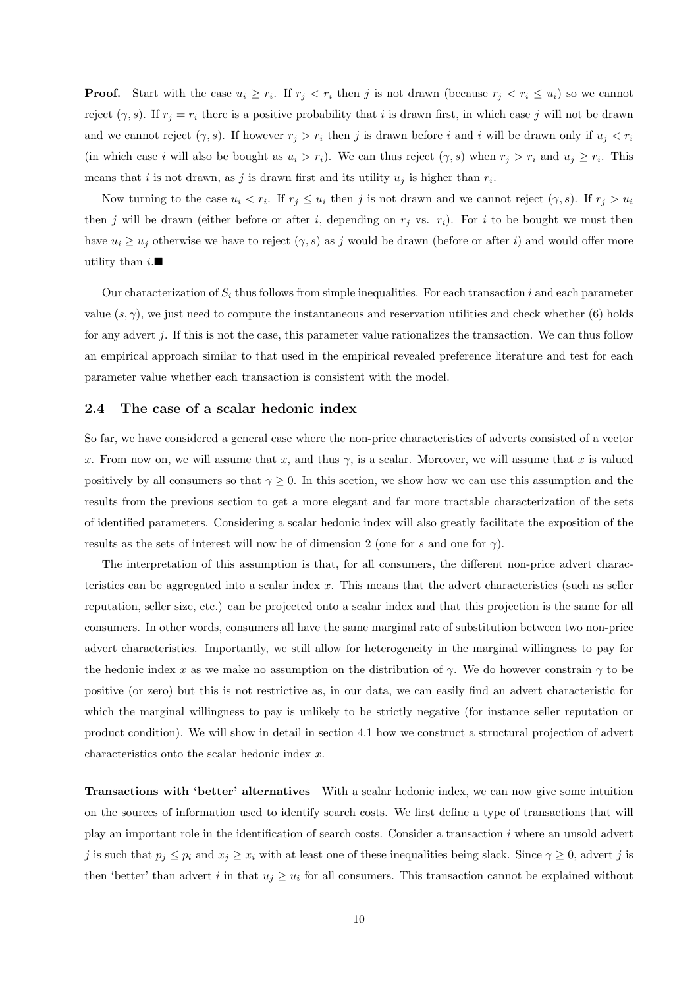**Proof.** Start with the case  $u_i \geq r_i$ . If  $r_j < r_i$  then j is not drawn (because  $r_j < r_i \leq u_i$ ) so we cannot reject  $(\gamma, s)$ . If  $r_j = r_i$  there is a positive probability that i is drawn first, in which case j will not be drawn and we cannot reject  $(\gamma, s)$ . If however  $r_j > r_i$  then j is drawn before i and i will be drawn only if  $u_j < r_i$ (in which case i will also be bought as  $u_i > r_i$ ). We can thus reject  $(\gamma, s)$  when  $r_j > r_i$  and  $u_j \ge r_i$ . This means that *i* is not drawn, as *j* is drawn first and its utility  $u_j$  is higher than  $r_i$ .

Now turning to the case  $u_i < r_i$ . If  $r_j \le u_i$  then j is not drawn and we cannot reject  $(\gamma, s)$ . If  $r_j > u_i$ then j will be drawn (either before or after i, depending on  $r_j$  vs.  $r_i$ ). For i to be bought we must then have  $u_i \geq u_j$  otherwise we have to reject  $(\gamma, s)$  as j would be drawn (before or after i) and would offer more utility than  $i$ .

Our characterization of  $S_i$  thus follows from simple inequalities. For each transaction i and each parameter value  $(s, \gamma)$ , we just need to compute the instantaneous and reservation utilities and check whether [\(6\)](#page-10-2) holds for any advert j. If this is not the case, this parameter value rationalizes the transaction. We can thus follow an empirical approach similar to that used in the empirical revealed preference literature and test for each parameter value whether each transaction is consistent with the model.

#### <span id="page-11-0"></span>2.4 The case of a scalar hedonic index

So far, we have considered a general case where the non-price characteristics of adverts consisted of a vector x. From now on, we will assume that x, and thus  $\gamma$ , is a scalar. Moreover, we will assume that x is valued positively by all consumers so that  $\gamma \geq 0$ . In this section, we show how we can use this assumption and the results from the previous section to get a more elegant and far more tractable characterization of the sets of identified parameters. Considering a scalar hedonic index will also greatly facilitate the exposition of the results as the sets of interest will now be of dimension 2 (one for s and one for  $\gamma$ ).

The interpretation of this assumption is that, for all consumers, the different non-price advert characteristics can be aggregated into a scalar index x. This means that the advert characteristics (such as seller reputation, seller size, etc.) can be projected onto a scalar index and that this projection is the same for all consumers. In other words, consumers all have the same marginal rate of substitution between two non-price advert characteristics. Importantly, we still allow for heterogeneity in the marginal willingness to pay for the hedonic index x as we make no assumption on the distribution of  $\gamma$ . We do however constrain  $\gamma$  to be positive (or zero) but this is not restrictive as, in our data, we can easily find an advert characteristic for which the marginal willingness to pay is unlikely to be strictly negative (for instance seller reputation or product condition). We will show in detail in section [4.1](#page-20-1) how we construct a structural projection of advert characteristics onto the scalar hedonic index x.

Transactions with 'better' alternatives With a scalar hedonic index, we can now give some intuition on the sources of information used to identify search costs. We first define a type of transactions that will play an important role in the identification of search costs. Consider a transaction i where an unsold advert j is such that  $p_j \leq p_i$  and  $x_j \geq x_i$  with at least one of these inequalities being slack. Since  $\gamma \geq 0$ , advert j is then 'better' than advert i in that  $u_j \geq u_i$  for all consumers. This transaction cannot be explained without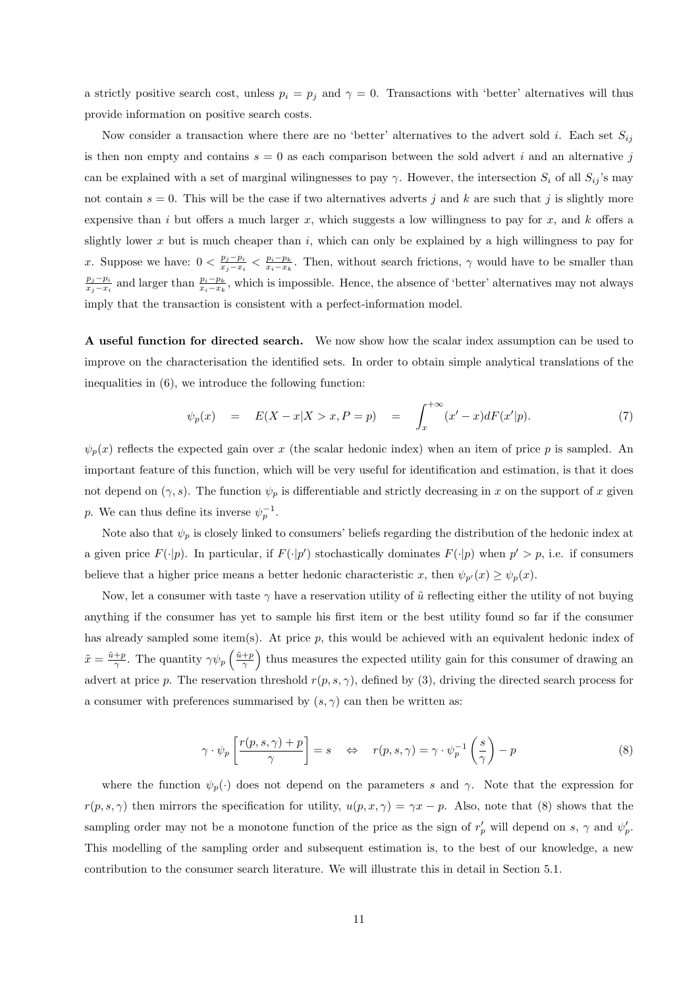a strictly positive search cost, unless  $p_i = p_j$  and  $\gamma = 0$ . Transactions with 'better' alternatives will thus provide information on positive search costs.

Now consider a transaction where there are no 'better' alternatives to the advert sold *i*. Each set  $S_{ij}$ is then non empty and contains  $s = 0$  as each comparison between the sold advert i and an alternative j can be explained with a set of marginal wilingnesses to pay  $\gamma$ . However, the intersection  $S_i$  of all  $S_{ij}$ 's may not contain  $s = 0$ . This will be the case if two alternatives adverts j and k are such that j is slightly more expensive than i but offers a much larger x, which suggests a low willingness to pay for x, and k offers a slightly lower x but is much cheaper than i, which can only be explained by a high willingness to pay for x. Suppose we have:  $0 < \frac{p_j - p_i}{r_j - r_i}$  $\frac{p_j-p_k}{x_j-x_k}$   $\lt$   $\frac{p_i-p_k}{x_i-x_k}$ . Then, without search frictions,  $\gamma$  would have to be smaller than  $p_j-p_i$  $\frac{p_j-p_i}{x_j-x_i}$  and larger than  $\frac{p_i-p_k}{x_i-x_k}$ , which is impossible. Hence, the absence of 'better' alternatives may not always imply that the transaction is consistent with a perfect-information model.

A useful function for directed search. We now show how the scalar index assumption can be used to improve on the characterisation the identified sets. In order to obtain simple analytical translations of the inequalities in [\(6\)](#page-10-2), we introduce the following function:

<span id="page-12-1"></span>
$$
\psi_p(x) = E(X - x | X > x, P = p) = \int_x^{+\infty} (x' - x) dF(x'|p).
$$
\n(7)

 $\psi_p(x)$  reflects the expected gain over x (the scalar hedonic index) when an item of price p is sampled. An important feature of this function, which will be very useful for identification and estimation, is that it does not depend on  $(\gamma, s)$ . The function  $\psi_p$  is differentiable and strictly decreasing in x on the support of x given p. We can thus define its inverse  $\psi_p^{-1}$ .

Note also that  $\psi_p$  is closely linked to consumers' beliefs regarding the distribution of the hedonic index at a given price  $F(\cdot|p)$ . In particular, if  $F(\cdot|p')$  stochastically dominates  $F(\cdot|p)$  when  $p' > p$ , i.e. if consumers believe that a higher price means a better hedonic characteristic x, then  $\psi_{p'}(x) \geq \psi_p(x)$ .

Now, let a consumer with taste  $\gamma$  have a reservation utility of  $\tilde{u}$  reflecting either the utility of not buying anything if the consumer has yet to sample his first item or the best utility found so far if the consumer has already sampled some item(s). At price  $p$ , this would be achieved with an equivalent hedonic index of  $\tilde{x} = \frac{\tilde{u}+p}{\gamma}$ . The quantity  $\gamma \psi_p \left( \frac{\tilde{u}+p}{\gamma} \right)$  thus measures the expected utility gain for this consumer of drawing an advert at price p. The reservation threshold  $r(p, s, \gamma)$ , defined by [\(3\)](#page-9-1), driving the directed search process for a consumer with preferences summarised by  $(s, \gamma)$  can then be written as:

<span id="page-12-0"></span>
$$
\gamma \cdot \psi_p \left[ \frac{r(p, s, \gamma) + p}{\gamma} \right] = s \quad \Leftrightarrow \quad r(p, s, \gamma) = \gamma \cdot \psi_p^{-1} \left( \frac{s}{\gamma} \right) - p \tag{8}
$$

where the function  $\psi_p(\cdot)$  does not depend on the parameters s and  $\gamma$ . Note that the expression for  $r(p, s, \gamma)$  then mirrors the specification for utility,  $u(p, x, \gamma) = \gamma x - p$ . Also, note that [\(8\)](#page-12-0) shows that the sampling order may not be a monotone function of the price as the sign of  $r'_p$  will depend on s,  $\gamma$  and  $\psi'_p$ . This modelling of the sampling order and subsequent estimation is, to the best of our knowledge, a new contribution to the consumer search literature. We will illustrate this in detail in Section [5.1.](#page-25-1)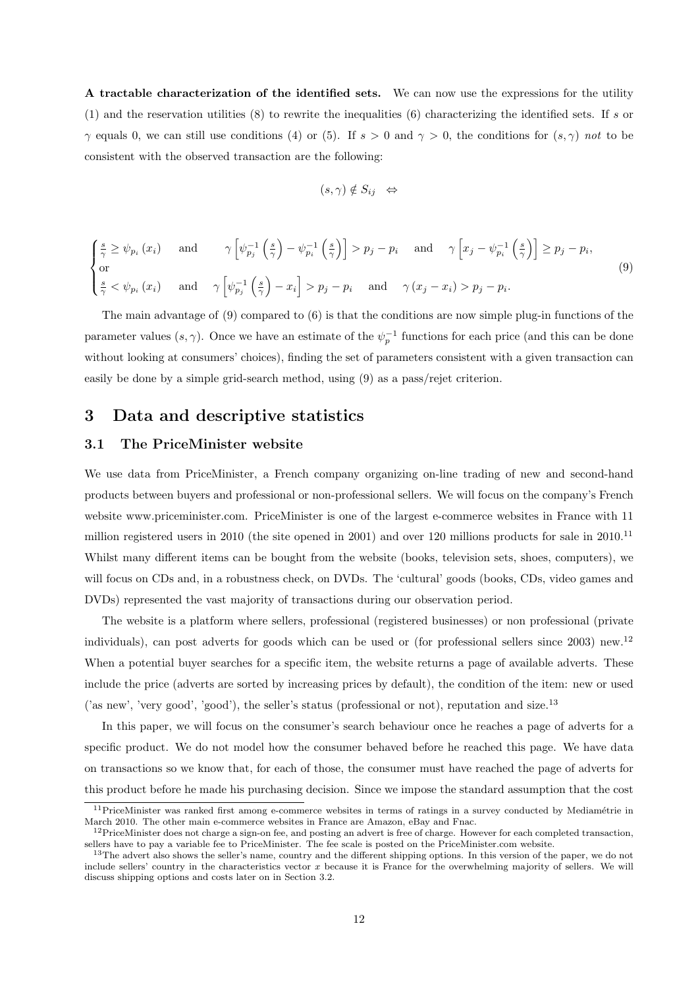A tractable characterization of the identified sets. We can now use the expressions for the utility [\(1\)](#page-6-3) and the reservation utilities  $(8)$  to rewrite the inequalities  $(6)$  characterizing the identified sets. If s or  $\gamma$  equals 0, we can still use conditions [\(4\)](#page-10-3) or [\(5\)](#page-10-4). If  $s > 0$  and  $\gamma > 0$ , the conditions for  $(s, \gamma)$  not to be consistent with the observed transaction are the following:

$$
(s,\gamma) \notin S_{ij} \iff
$$

<span id="page-13-1"></span>
$$
\begin{cases}\n\frac{s}{\gamma} \geq \psi_{p_i}(x_i) & \text{and} \quad \gamma \left[ \psi_{p_j}^{-1} \left( \frac{s}{\gamma} \right) - \psi_{p_i}^{-1} \left( \frac{s}{\gamma} \right) \right] > p_j - p_i \quad \text{and} \quad \gamma \left[ x_j - \psi_{p_i}^{-1} \left( \frac{s}{\gamma} \right) \right] \geq p_j - p_i, \\
\text{or} \\
\frac{s}{\gamma} < \psi_{p_i}(x_i) & \text{and} \quad \gamma \left[ \psi_{p_j}^{-1} \left( \frac{s}{\gamma} \right) - x_i \right] > p_j - p_i \quad \text{and} \quad \gamma \left( x_j - x_i \right) > p_j - p_i.\n\end{cases}\n\tag{9}
$$

The main advantage of [\(9\)](#page-13-1) compared to [\(6\)](#page-10-2) is that the conditions are now simple plug-in functions of the parameter values  $(s, \gamma)$ . Once we have an estimate of the  $\psi_p^{-1}$  functions for each price (and this can be done without looking at consumers' choices), finding the set of parameters consistent with a given transaction can easily be done by a simple grid-search method, using [\(9\)](#page-13-1) as a pass/rejet criterion.

### <span id="page-13-0"></span>3 Data and descriptive statistics

#### 3.1 The PriceMinister website

We use data from PriceMinister, a French company organizing on-line trading of new and second-hand products between buyers and professional or non-professional sellers. We will focus on the company's French website www.priceminister.com. PriceMinister is one of the largest e-commerce websites in France with 11 million registered users in 2010 (the site opened in 2001) and over 120 millions products for sale in 2010.[11](#page-13-2) Whilst many different items can be bought from the website (books, television sets, shoes, computers), we will focus on CDs and, in a robustness check, on DVDs. The 'cultural' goods (books, CDs, video games and DVDs) represented the vast majority of transactions during our observation period.

The website is a platform where sellers, professional (registered businesses) or non professional (private individuals), can post adverts for goods which can be used or (for professional sellers since 2003) new.[12](#page-13-3) When a potential buyer searches for a specific item, the website returns a page of available adverts. These include the price (adverts are sorted by increasing prices by default), the condition of the item: new or used ('as new', 'very good', 'good'), the seller's status (professional or not), reputation and size.[13](#page-13-4)

In this paper, we will focus on the consumer's search behaviour once he reaches a page of adverts for a specific product. We do not model how the consumer behaved before he reached this page. We have data on transactions so we know that, for each of those, the consumer must have reached the page of adverts for this product before he made his purchasing decision. Since we impose the standard assumption that the cost

<span id="page-13-2"></span> $11$ PriceMinister was ranked first among e-commerce websites in terms of ratings in a survey conducted by Mediamétrie in March 2010. The other main e-commerce websites in France are Amazon, eBay and Fnac.

<span id="page-13-3"></span> $12$ PriceMinister does not charge a sign-on fee, and posting an advert is free of charge. However for each completed transaction, sellers have to pay a variable fee to PriceMinister. The fee scale is posted on the PriceMinister.com website.

<span id="page-13-4"></span><sup>&</sup>lt;sup>13</sup>The advert also shows the seller's name, country and the different shipping options. In this version of the paper, we do not include sellers' country in the characteristics vector x because it is France for the overwhelming majority of sellers. We will discuss shipping options and costs later on in Section [3.2.](#page-14-0)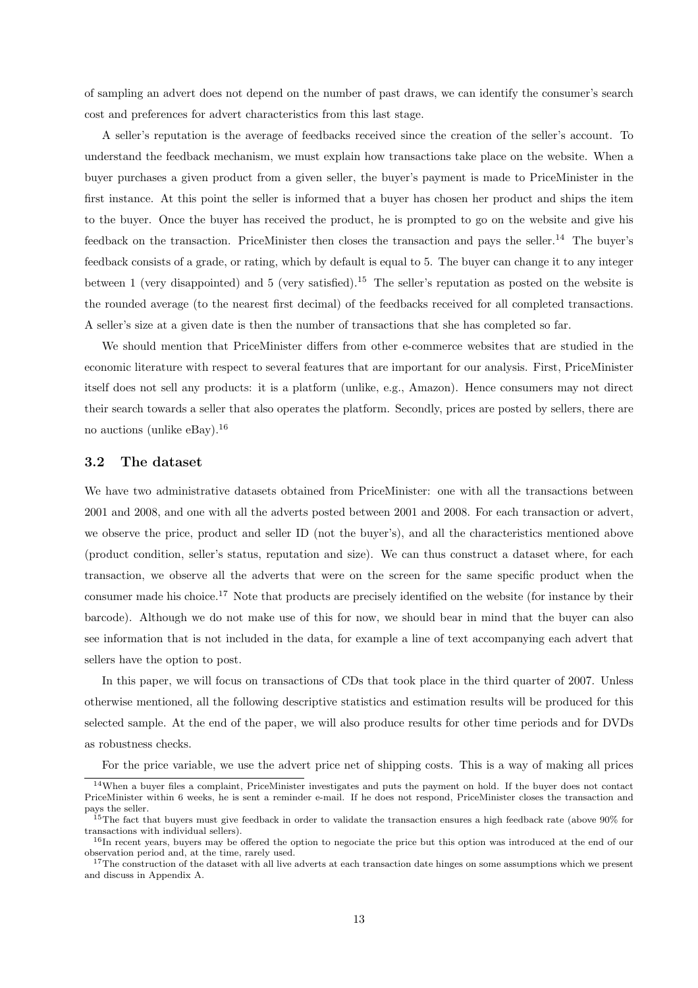of sampling an advert does not depend on the number of past draws, we can identify the consumer's search cost and preferences for advert characteristics from this last stage.

A seller's reputation is the average of feedbacks received since the creation of the seller's account. To understand the feedback mechanism, we must explain how transactions take place on the website. When a buyer purchases a given product from a given seller, the buyer's payment is made to PriceMinister in the first instance. At this point the seller is informed that a buyer has chosen her product and ships the item to the buyer. Once the buyer has received the product, he is prompted to go on the website and give his feedback on the transaction. PriceMinister then closes the transaction and pays the seller.[14](#page-14-1) The buyer's feedback consists of a grade, or rating, which by default is equal to 5. The buyer can change it to any integer between 1 (very disappointed) and 5 (very satisfied).[15](#page-14-2) The seller's reputation as posted on the website is the rounded average (to the nearest first decimal) of the feedbacks received for all completed transactions. A seller's size at a given date is then the number of transactions that she has completed so far.

We should mention that PriceMinister differs from other e-commerce websites that are studied in the economic literature with respect to several features that are important for our analysis. First, PriceMinister itself does not sell any products: it is a platform (unlike, e.g., Amazon). Hence consumers may not direct their search towards a seller that also operates the platform. Secondly, prices are posted by sellers, there are no auctions (unlike  $e$ Bay).<sup>[16](#page-14-3)</sup>

#### <span id="page-14-0"></span>3.2 The dataset

We have two administrative datasets obtained from PriceMinister: one with all the transactions between 2001 and 2008, and one with all the adverts posted between 2001 and 2008. For each transaction or advert, we observe the price, product and seller ID (not the buyer's), and all the characteristics mentioned above (product condition, seller's status, reputation and size). We can thus construct a dataset where, for each transaction, we observe all the adverts that were on the screen for the same specific product when the consumer made his choice.[17](#page-14-4) Note that products are precisely identified on the website (for instance by their barcode). Although we do not make use of this for now, we should bear in mind that the buyer can also see information that is not included in the data, for example a line of text accompanying each advert that sellers have the option to post.

In this paper, we will focus on transactions of CDs that took place in the third quarter of 2007. Unless otherwise mentioned, all the following descriptive statistics and estimation results will be produced for this selected sample. At the end of the paper, we will also produce results for other time periods and for DVDs as robustness checks.

For the price variable, we use the advert price net of shipping costs. This is a way of making all prices

<span id="page-14-1"></span> $14$ When a buyer files a complaint, PriceMinister investigates and puts the payment on hold. If the buyer does not contact PriceMinister within 6 weeks, he is sent a reminder e-mail. If he does not respond, PriceMinister closes the transaction and pays the seller.

<sup>&</sup>lt;sup>15</sup>The fact that buyers must give feedback in order to validate the transaction ensures a high feedback rate (above 90% for transactions with individual sellers).

<span id="page-14-2"></span><sup>&</sup>lt;sup>16</sup>In recent years, buyers may be offered the option to negociate the price but this option was introduced at the end of our observation period and, at the time, rarely used.

<span id="page-14-4"></span><span id="page-14-3"></span> $17$ The construction of the dataset with all live adverts at each transaction date hinges on some assumptions which we present and discuss in Appendix [A.](#page-38-0)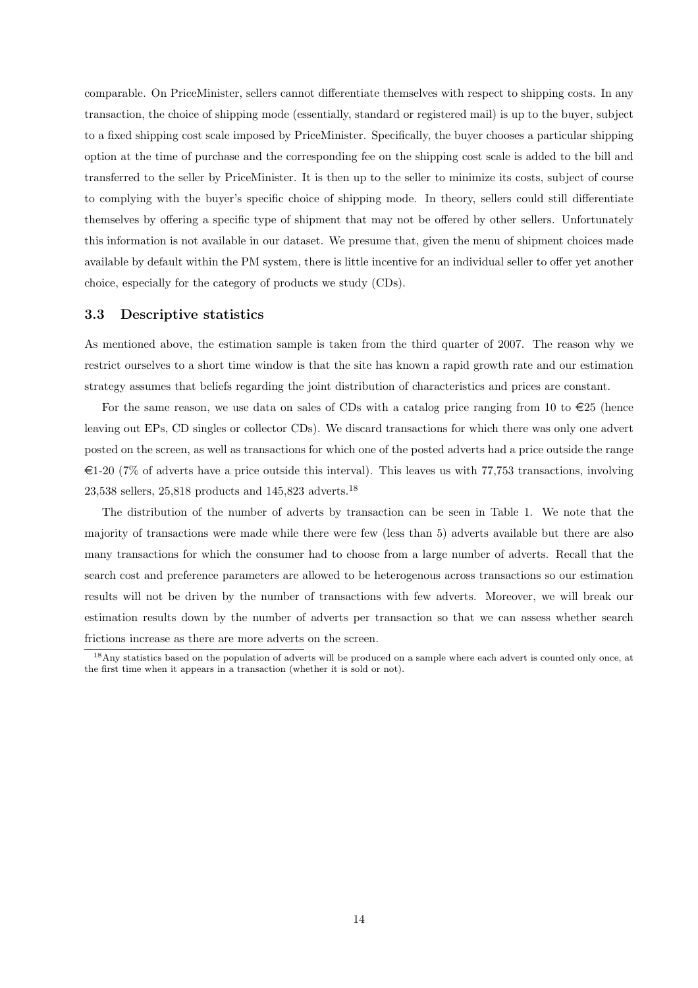comparable. On PriceMinister, sellers cannot differentiate themselves with respect to shipping costs. In any transaction, the choice of shipping mode (essentially, standard or registered mail) is up to the buyer, subject to a fixed shipping cost scale imposed by PriceMinister. Specifically, the buyer chooses a particular shipping option at the time of purchase and the corresponding fee on the shipping cost scale is added to the bill and transferred to the seller by PriceMinister. It is then up to the seller to minimize its costs, subject of course to complying with the buyer's specific choice of shipping mode. In theory, sellers could still differentiate themselves by offering a specific type of shipment that may not be offered by other sellers. Unfortunately this information is not available in our dataset. We presume that, given the menu of shipment choices made available by default within the PM system, there is little incentive for an individual seller to offer yet another choice, especially for the category of products we study (CDs).

#### <span id="page-15-1"></span>3.3 Descriptive statistics

As mentioned above, the estimation sample is taken from the third quarter of 2007. The reason why we restrict ourselves to a short time window is that the site has known a rapid growth rate and our estimation strategy assumes that beliefs regarding the joint distribution of characteristics and prices are constant.

For the same reason, we use data on sales of CDs with a catalog price ranging from 10 to  $\in 25$  (hence leaving out EPs, CD singles or collector CDs). We discard transactions for which there was only one advert posted on the screen, as well as transactions for which one of the posted adverts had a price outside the range  $\epsilon$ 1-20 (7% of adverts have a price outside this interval). This leaves us with 77,753 transactions, involving 23,538 sellers, 25,818 products and 145,823 adverts.[18](#page-15-0)

The distribution of the number of adverts by transaction can be seen in Table [1.](#page-16-0) We note that the majority of transactions were made while there were few (less than 5) adverts available but there are also many transactions for which the consumer had to choose from a large number of adverts. Recall that the search cost and preference parameters are allowed to be heterogenous across transactions so our estimation results will not be driven by the number of transactions with few adverts. Moreover, we will break our estimation results down by the number of adverts per transaction so that we can assess whether search frictions increase as there are more adverts on the screen.

<span id="page-15-0"></span><sup>&</sup>lt;sup>18</sup>Any statistics based on the population of adverts will be produced on a sample where each advert is counted only once, at the first time when it appears in a transaction (whether it is sold or not).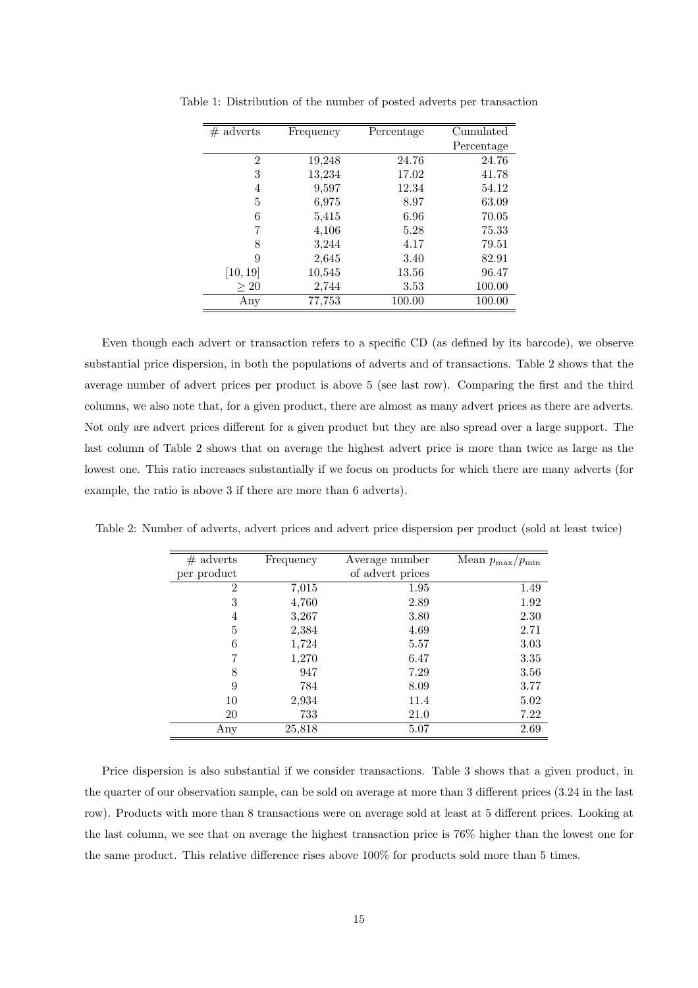<span id="page-16-0"></span>

| $#$ adverts    | Frequency | Percentage | Cumulated  |
|----------------|-----------|------------|------------|
|                |           |            | Percentage |
| $\overline{2}$ | 19,248    | 24.76      | 24.76      |
| 3              | 13,234    | 17.02      | 41.78      |
| 4              | 9,597     | 12.34      | 54.12      |
| 5              | 6,975     | 8.97       | 63.09      |
| 6              | 5,415     | 6.96       | 70.05      |
|                | 4,106     | 5.28       | 75.33      |
| 8              | 3,244     | 4.17       | 79.51      |
| 9              | 2,645     | 3.40       | 82.91      |
| [10, 19]       | 10,545    | 13.56      | 96.47      |
| >20            | 2,744     | 3.53       | 100.00     |
| Any            | 77,753    | 100.00     | 100.00     |

Table 1: Distribution of the number of posted adverts per transaction

Even though each advert or transaction refers to a specific CD (as defined by its barcode), we observe substantial price dispersion, in both the populations of adverts and of transactions. Table [2](#page-16-1) shows that the average number of advert prices per product is above 5 (see last row). Comparing the first and the third columns, we also note that, for a given product, there are almost as many advert prices as there are adverts. Not only are advert prices different for a given product but they are also spread over a large support. The last column of Table [2](#page-16-1) shows that on average the highest advert price is more than twice as large as the lowest one. This ratio increases substantially if we focus on products for which there are many adverts (for example, the ratio is above 3 if there are more than 6 adverts).

<span id="page-16-1"></span>

| $#$ adverts    | Frequency | Average number   | Mean $p_{\text{max}}/p_{\text{min}}$ |
|----------------|-----------|------------------|--------------------------------------|
| per product    |           | of advert prices |                                      |
| $\overline{2}$ | 7,015     | 1.95             | 1.49                                 |
| 3              | 4,760     | 2.89             | 1.92                                 |
| 4              | 3,267     | 3.80             | 2.30                                 |
| 5              | 2,384     | 4.69             | 2.71                                 |
| 6              | 1,724     | 5.57             | 3.03                                 |
| 7              | 1,270     | 6.47             | 3.35                                 |
| 8              | 947       | 7.29             | 3.56                                 |
| 9              | 784       | 8.09             | 3.77                                 |
| 10             | 2,934     | 11.4             | 5.02                                 |
| 20             | 733       | 21.0             | 7.22                                 |
| Any            | 25,818    | 5.07             | 2.69                                 |

Table 2: Number of adverts, advert prices and advert price dispersion per product (sold at least twice)

Price dispersion is also substantial if we consider transactions. Table [3](#page-17-0) shows that a given product, in the quarter of our observation sample, can be sold on average at more than 3 different prices (3.24 in the last row). Products with more than 8 transactions were on average sold at least at 5 different prices. Looking at the last column, we see that on average the highest transaction price is 76% higher than the lowest one for the same product. This relative difference rises above 100% for products sold more than 5 times.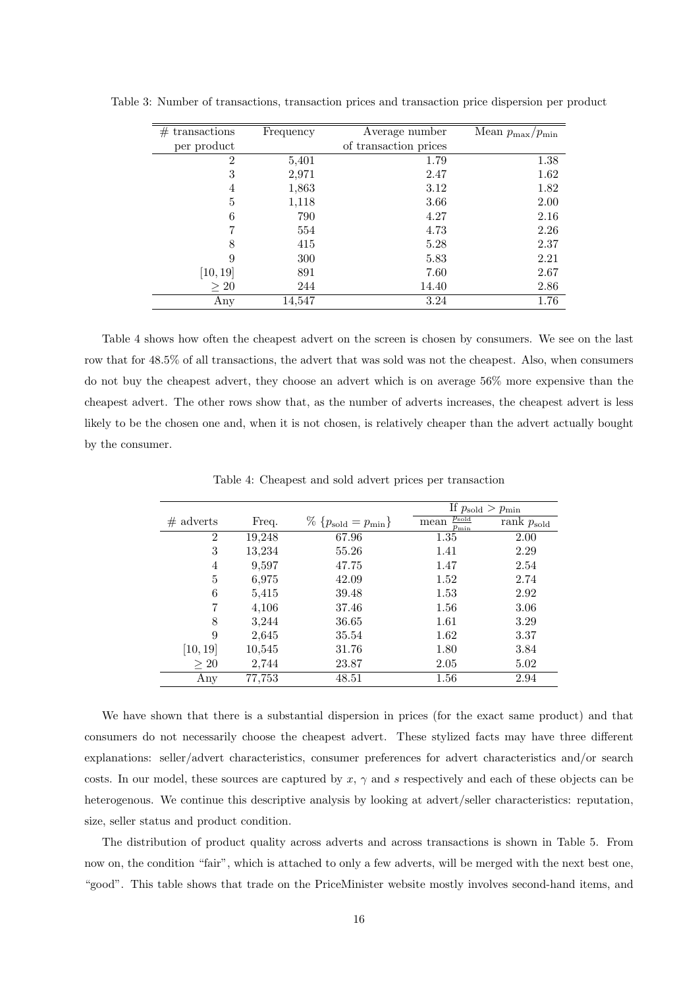<span id="page-17-0"></span>

| #<br>transactions | Frequency | Average number        | Mean $p_{\text{max}}/p_{\text{min}}$ |
|-------------------|-----------|-----------------------|--------------------------------------|
| per product       |           | of transaction prices |                                      |
| $\overline{2}$    | 5,401     | 1.79                  | 1.38                                 |
| 3                 | 2,971     | 2.47                  | 1.62                                 |
| 4                 | 1,863     | 3.12                  | 1.82                                 |
| 5                 | 1,118     | 3.66                  | 2.00                                 |
| 6                 | 790       | 4.27                  | 2.16                                 |
| 7                 | 554       | 4.73                  | 2.26                                 |
| 8                 | 415       | 5.28                  | 2.37                                 |
| 9                 | 300       | 5.83                  | 2.21                                 |
| [10, 19]          | 891       | 7.60                  | 2.67                                 |
| $\geq 20$         | 244       | 14.40                 | 2.86                                 |
| Any               | 14,547    | 3.24                  | 1.76                                 |

Table 3: Number of transactions, transaction prices and transaction price dispersion per product

Table [4](#page-17-1) shows how often the cheapest advert on the screen is chosen by consumers. We see on the last row that for 48.5% of all transactions, the advert that was sold was not the cheapest. Also, when consumers do not buy the cheapest advert, they choose an advert which is on average 56% more expensive than the cheapest advert. The other rows show that, as the number of adverts increases, the cheapest advert is less likely to be the chosen one and, when it is not chosen, is relatively cheaper than the advert actually bought by the consumer.

|             |        |                                        | If $p_{\text{solid}} > p_{\text{min}}$ |                     |
|-------------|--------|----------------------------------------|----------------------------------------|---------------------|
| $#$ adverts | Freq.  | $\%$ { $p_{\text{solid}} = p_{\min}$ } | $p_{\rm sold}$<br>mean<br>$p_{\min}$   | rank $p_{\rm sold}$ |
| 2           | 19,248 | 67.96                                  | 1.35                                   | 2.00                |
| 3           | 13,234 | 55.26                                  | 1.41                                   | 2.29                |
| 4           | 9,597  | 47.75                                  | 1.47                                   | 2.54                |
| 5           | 6,975  | 42.09                                  | 1.52                                   | 2.74                |
| 6           | 5,415  | 39.48                                  | 1.53                                   | 2.92                |
| 7           | 4,106  | 37.46                                  | 1.56                                   | 3.06                |
| 8           | 3,244  | 36.65                                  | 1.61                                   | 3.29                |
| 9           | 2,645  | 35.54                                  | 1.62                                   | 3.37                |
| [10, 19]    | 10,545 | 31.76                                  | 1.80                                   | 3.84                |
| $\geq 20$   | 2,744  | 23.87                                  | 2.05                                   | 5.02                |
| Any         | 77,753 | 48.51                                  | 1.56                                   | 2.94                |

<span id="page-17-1"></span>Table 4: Cheapest and sold advert prices per transaction

We have shown that there is a substantial dispersion in prices (for the exact same product) and that consumers do not necessarily choose the cheapest advert. These stylized facts may have three different explanations: seller/advert characteristics, consumer preferences for advert characteristics and/or search costs. In our model, these sources are captured by  $x, \gamma$  and s respectively and each of these objects can be heterogenous. We continue this descriptive analysis by looking at advert/seller characteristics: reputation, size, seller status and product condition.

The distribution of product quality across adverts and across transactions is shown in Table [5.](#page-18-0) From now on, the condition "fair", which is attached to only a few adverts, will be merged with the next best one, "good". This table shows that trade on the PriceMinister website mostly involves second-hand items, and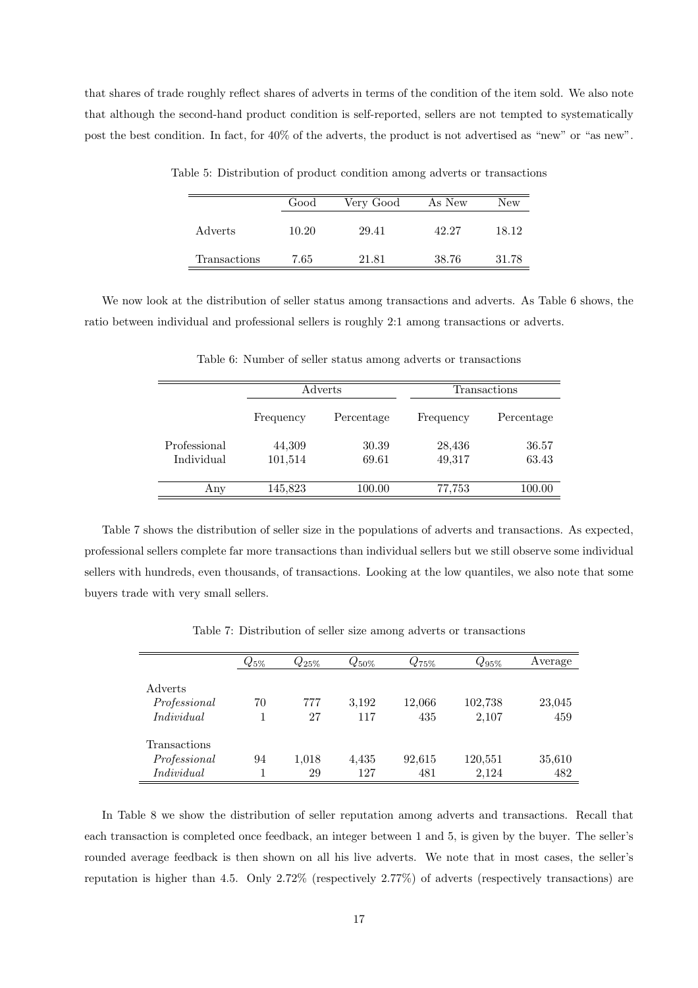that shares of trade roughly reflect shares of adverts in terms of the condition of the item sold. We also note that although the second-hand product condition is self-reported, sellers are not tempted to systematically post the best condition. In fact, for 40% of the adverts, the product is not advertised as "new" or "as new".

<span id="page-18-0"></span>

|              | Good  | Very Good | As New | New   |
|--------------|-------|-----------|--------|-------|
| Adverts      | 10.20 | 29.41     | 42.27  | 18.12 |
| Transactions | 7.65  | 21.81     | 38.76  | 31.78 |

Table 5: Distribution of product condition among adverts or transactions

We now look at the distribution of seller status among transactions and adverts. As Table [6](#page-18-1) shows, the ratio between individual and professional sellers is roughly 2:1 among transactions or adverts.

|              |           | Adverts    |           | Transactions |  |  |
|--------------|-----------|------------|-----------|--------------|--|--|
|              | Frequency | Percentage | Frequency | Percentage   |  |  |
| Professional | 44,309    | 30.39      | 28,436    | 36.57        |  |  |
| Individual   | 101,514   | 69.61      | 49,317    | 63.43        |  |  |
| Any          | 145,823   | 100.00     | 77,753    | 100.00       |  |  |

<span id="page-18-1"></span>Table 6: Number of seller status among adverts or transactions

Table [7](#page-18-2) shows the distribution of seller size in the populations of adverts and transactions. As expected, professional sellers complete far more transactions than individual sellers but we still observe some individual sellers with hundreds, even thousands, of transactions. Looking at the low quantiles, we also note that some buyers trade with very small sellers.

<span id="page-18-2"></span>Table 7: Distribution of seller size among adverts or transactions

|                     | $Q_{5\%}$ | $Q_{25\%}$ | $Q_{50\%}$ | $Q_{75\%}$ | $Q_{95\%}$ | Average |
|---------------------|-----------|------------|------------|------------|------------|---------|
|                     |           |            |            |            |            |         |
| Adverts             |           |            |            |            |            |         |
| Professional        | 70        | 777        | 3,192      | 12,066     | 102,738    | 23,045  |
| Individual          |           | 27         | 117        | 435        | 2,107      | 459     |
|                     |           |            |            |            |            |         |
| <b>Transactions</b> |           |            |            |            |            |         |
| Professional        | 94        | 1,018      | 4,435      | 92,615     | 120,551    | 35,610  |
| Individual          |           | 29         | 127        | 481        | 2,124      | 482     |

In Table [8](#page-19-0) we show the distribution of seller reputation among adverts and transactions. Recall that each transaction is completed once feedback, an integer between 1 and 5, is given by the buyer. The seller's rounded average feedback is then shown on all his live adverts. We note that in most cases, the seller's reputation is higher than 4.5. Only 2.72% (respectively 2.77%) of adverts (respectively transactions) are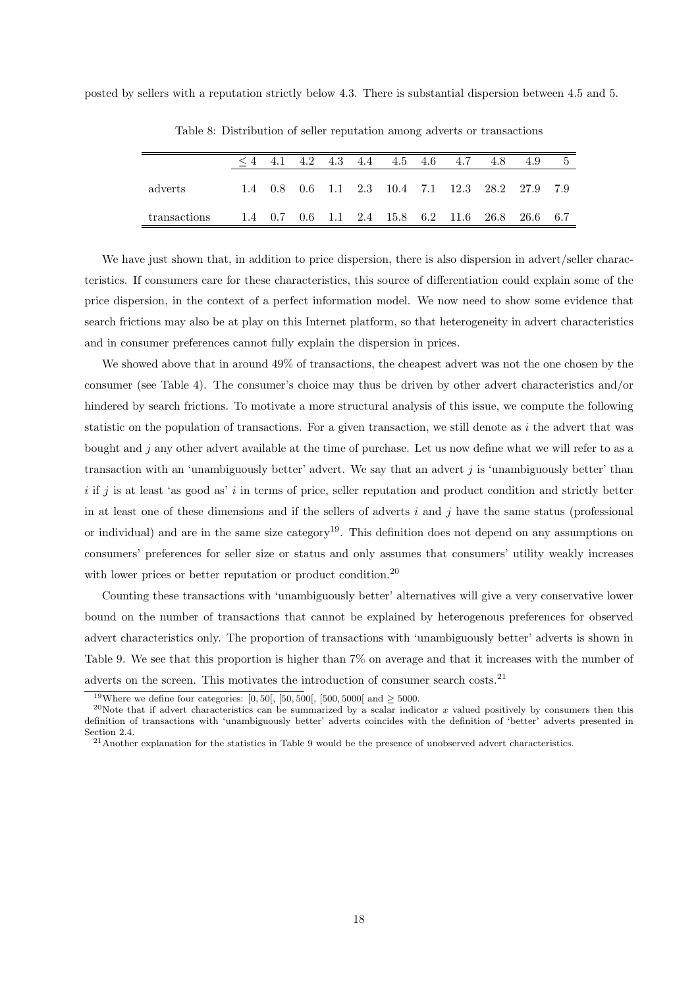posted by sellers with a reputation strictly below 4.3. There is substantial dispersion between 4.5 and 5.

|              |  |  | $\leq 4$ 4.1 4.2 4.3 4.4 4.5 4.6 4.7 4.8 4.9    |  |  | $5 -$ |
|--------------|--|--|-------------------------------------------------|--|--|-------|
| adverts      |  |  | 1.4 0.8 0.6 1.1 2.3 10.4 7.1 12.3 28.2 27.9 7.9 |  |  |       |
| transactions |  |  | 1.4 0.7 0.6 1.1 2.4 15.8 6.2 11.6 26.8 26.6 6.7 |  |  |       |

<span id="page-19-0"></span>Table 8: Distribution of seller reputation among adverts or transactions

We have just shown that, in addition to price dispersion, there is also dispersion in advert/seller characteristics. If consumers care for these characteristics, this source of differentiation could explain some of the price dispersion, in the context of a perfect information model. We now need to show some evidence that search frictions may also be at play on this Internet platform, so that heterogeneity in advert characteristics and in consumer preferences cannot fully explain the dispersion in prices.

We showed above that in around 49% of transactions, the cheapest advert was not the one chosen by the consumer (see Table [4\)](#page-17-1). The consumer's choice may thus be driven by other advert characteristics and/or hindered by search frictions. To motivate a more structural analysis of this issue, we compute the following statistic on the population of transactions. For a given transaction, we still denote as  $i$  the advert that was bought and  $j$  any other advert available at the time of purchase. Let us now define what we will refer to as a transaction with an 'unambiguously better' advert. We say that an advert  $j$  is 'unambiguously better' than  $i$  if j is at least 'as good as' i in terms of price, seller reputation and product condition and strictly better in at least one of these dimensions and if the sellers of adverts  $i$  and  $j$  have the same status (professional or individual) and are in the same size category<sup>[19](#page-19-1)</sup>. This definition does not depend on any assumptions on consumers' preferences for seller size or status and only assumes that consumers' utility weakly increases with lower prices or better reputation or product condition.<sup>[20](#page-19-2)</sup>

Counting these transactions with 'unambiguously better' alternatives will give a very conservative lower bound on the number of transactions that cannot be explained by heterogenous preferences for observed advert characteristics only. The proportion of transactions with 'unambiguously better' adverts is shown in Table [9.](#page-20-2) We see that this proportion is higher than 7% on average and that it increases with the number of adverts on the screen. This motivates the introduction of consumer search costs.[21](#page-19-3)

<span id="page-19-1"></span><sup>&</sup>lt;sup>19</sup>Where we define four categories: [0, 50[, [50, 500[, [500, 5000] and  $\geq$  5000.

<span id="page-19-2"></span><sup>&</sup>lt;sup>20</sup>Note that if advert characteristics can be summarized by a scalar indicator x valued positively by consumers then this definition of transactions with 'unambiguously better' adverts coincides with the definition of 'better' adverts presented in Section [2.4.](#page-11-0)

<span id="page-19-3"></span><sup>&</sup>lt;sup>21</sup>Another explanation for the statistics in Table [9](#page-20-2) would be the presence of unobserved advert characteristics.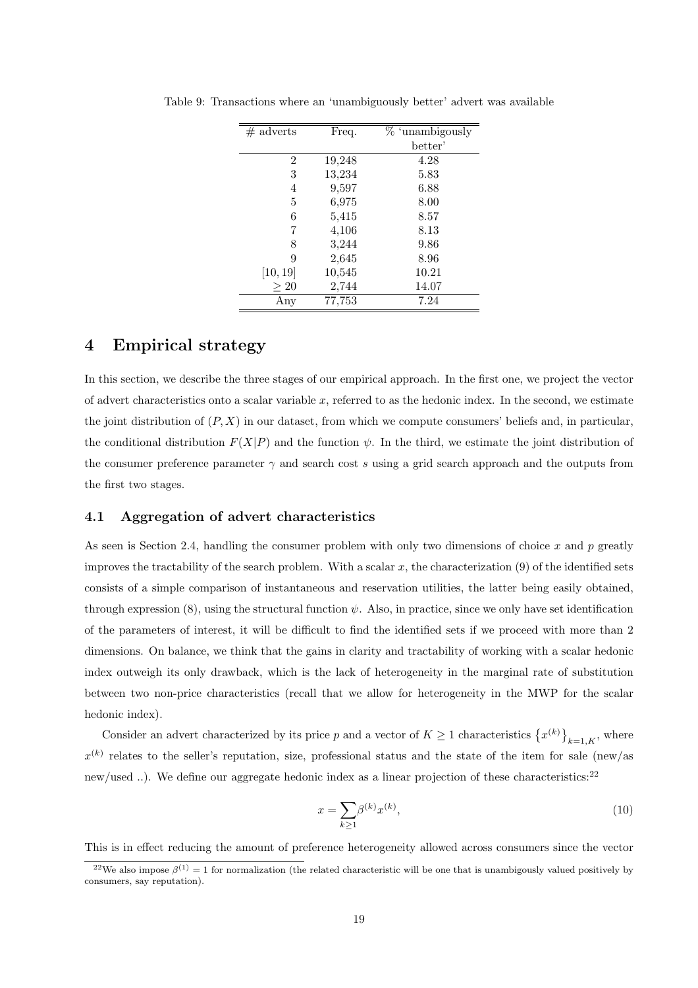<span id="page-20-2"></span>

| $#$ adverts | Freq.  | $%$ 'unambigously |
|-------------|--------|-------------------|
|             |        | better'           |
| 2           | 19,248 | 4.28              |
| 3           | 13,234 | 5.83              |
| 4           | 9,597  | 6.88              |
| 5           | 6,975  | 8.00              |
| 6           | 5,415  | 8.57              |
| 7           | 4,106  | 8.13              |
| 8           | 3,244  | 9.86              |
| 9           | 2,645  | 8.96              |
| [10, 19]    | 10,545 | 10.21             |
| $\geq 20$   | 2,744  | 14.07             |
| $\rm Any$   | 77,753 | 7.24              |

Table 9: Transactions where an 'unambiguously better' advert was available

## <span id="page-20-0"></span>4 Empirical strategy

In this section, we describe the three stages of our empirical approach. In the first one, we project the vector of advert characteristics onto a scalar variable  $x$ , referred to as the hedonic index. In the second, we estimate the joint distribution of  $(P, X)$  in our dataset, from which we compute consumers' beliefs and, in particular, the conditional distribution  $F(X|P)$  and the function  $\psi$ . In the third, we estimate the joint distribution of the consumer preference parameter  $\gamma$  and search cost s using a grid search approach and the outputs from the first two stages.

#### <span id="page-20-1"></span>4.1 Aggregation of advert characteristics

As seen is Section [2.4,](#page-11-0) handling the consumer problem with only two dimensions of choice  $x$  and  $p$  greatly improves the tractability of the search problem. With a scalar  $x$ , the characterization  $(9)$  of the identified sets consists of a simple comparison of instantaneous and reservation utilities, the latter being easily obtained, through expression [\(8\)](#page-12-0), using the structural function  $\psi$ . Also, in practice, since we only have set identification of the parameters of interest, it will be difficult to find the identified sets if we proceed with more than 2 dimensions. On balance, we think that the gains in clarity and tractability of working with a scalar hedonic index outweigh its only drawback, which is the lack of heterogeneity in the marginal rate of substitution between two non-price characteristics (recall that we allow for heterogeneity in the MWP for the scalar hedonic index).

Consider an advert characterized by its price p and a vector of  $K \geq 1$  characteristics  $\{x^{(k)}\}_{k=1,K}$ , where  $x^{(k)}$  relates to the seller's reputation, size, professional status and the state of the item for sale (new/as new/used ..). We define our aggregate hedonic index as a linear projection of these characteristics:<sup>[22](#page-20-3)</sup>

$$
x = \sum_{k \ge 1} \beta^{(k)} x^{(k)},\tag{10}
$$

This is in effect reducing the amount of preference heterogeneity allowed across consumers since the vector

<span id="page-20-3"></span><sup>&</sup>lt;sup>22</sup>We also impose  $\beta^{(1)} = 1$  for normalization (the related characteristic will be one that is unambigously valued positively by consumers, say reputation).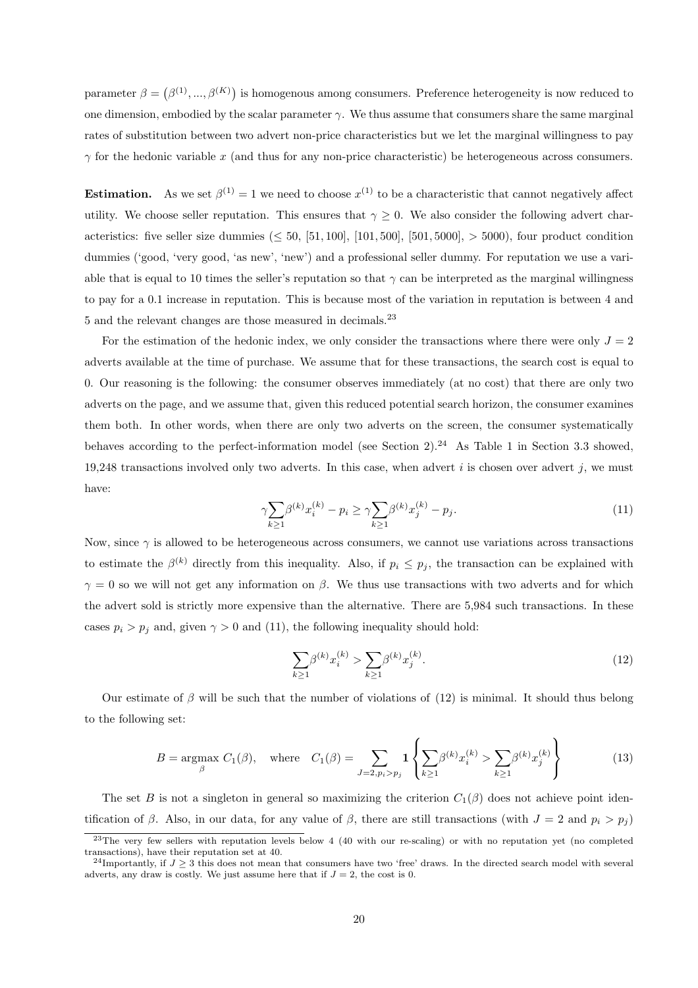parameter  $\beta = (\beta^{(1)}, ..., \beta^{(K)})$  is homogenous among consumers. Preference heterogeneity is now reduced to one dimension, embodied by the scalar parameter  $\gamma$ . We thus assume that consumers share the same marginal rates of substitution between two advert non-price characteristics but we let the marginal willingness to pay  $\gamma$  for the hedonic variable x (and thus for any non-price characteristic) be heterogeneous across consumers.

**Estimation.** As we set  $\beta^{(1)} = 1$  we need to choose  $x^{(1)}$  to be a characteristic that cannot negatively affect utility. We choose seller reputation. This ensures that  $\gamma \geq 0$ . We also consider the following advert characteristics: five seller size dummies  $( \leq 50, [51, 100], [101, 500], [501, 5000], > 5000)$ , four product condition dummies ('good, 'very good, 'as new', 'new') and a professional seller dummy. For reputation we use a variable that is equal to 10 times the seller's reputation so that  $\gamma$  can be interpreted as the marginal willingness to pay for a 0.1 increase in reputation. This is because most of the variation in reputation is between 4 and 5 and the relevant changes are those measured in decimals.[23](#page-21-0)

For the estimation of the hedonic index, we only consider the transactions where there were only  $J = 2$ adverts available at the time of purchase. We assume that for these transactions, the search cost is equal to 0. Our reasoning is the following: the consumer observes immediately (at no cost) that there are only two adverts on the page, and we assume that, given this reduced potential search horizon, the consumer examines them both. In other words, when there are only two adverts on the screen, the consumer systematically behaves according to the perfect-information model (see Section  $2$ ).<sup>[24](#page-21-1)</sup> As Table [1](#page-16-0) in Section [3.3](#page-15-1) showed, 19,248 transactions involved only two adverts. In this case, when advert  $i$  is chosen over advert  $j$ , we must have:

<span id="page-21-2"></span>
$$
\gamma \sum_{k \ge 1} \beta^{(k)} x_i^{(k)} - p_i \ge \gamma \sum_{k \ge 1} \beta^{(k)} x_j^{(k)} - p_j. \tag{11}
$$

Now, since  $\gamma$  is allowed to be heterogeneous across consumers, we cannot use variations across transactions to estimate the  $\beta^{(k)}$  directly from this inequality. Also, if  $p_i \leq p_j$ , the transaction can be explained with  $\gamma = 0$  so we will not get any information on  $\beta$ . We thus use transactions with two adverts and for which the advert sold is strictly more expensive than the alternative. There are 5,984 such transactions. In these cases  $p_i > p_j$  and, given  $\gamma > 0$  and [\(11\)](#page-21-2), the following inequality should hold:

<span id="page-21-3"></span>
$$
\sum_{k\geq 1} \beta^{(k)} x_i^{(k)} > \sum_{k\geq 1} \beta^{(k)} x_j^{(k)}.\tag{12}
$$

Our estimate of  $\beta$  will be such that the number of violations of [\(12\)](#page-21-3) is minimal. It should thus belong to the following set:

<span id="page-21-4"></span>
$$
B = \underset{\beta}{\text{argmax}} \ C_1(\beta), \quad \text{where} \quad C_1(\beta) = \sum_{J=2, p_i > p_j} \mathbf{1} \left\{ \sum_{k \ge 1} \beta^{(k)} x_i^{(k)} > \sum_{k \ge 1} \beta^{(k)} x_j^{(k)} \right\} \tag{13}
$$

The set B is not a singleton in general so maximizing the criterion  $C_1(\beta)$  does not achieve point identification of β. Also, in our data, for any value of β, there are still transactions (with  $J = 2$  and  $p_i > p_j$ )

 $23$ The very few sellers with reputation levels below 4 (40 with our re-scaling) or with no reputation yet (no completed transactions), have their reputation set at 40.

<span id="page-21-1"></span><span id="page-21-0"></span><sup>&</sup>lt;sup>24</sup>Importantly, if  $J \geq 3$  this does not mean that consumers have two 'free' draws. In the directed search model with several adverts, any draw is costly. We just assume here that if  $J = 2$ , the cost is 0.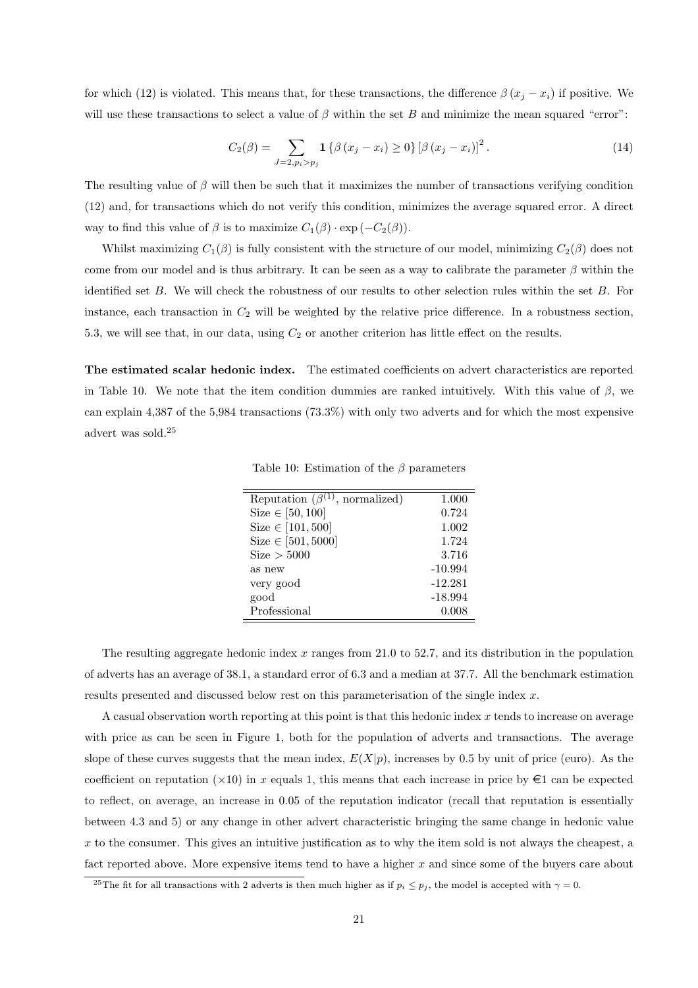for which [\(12\)](#page-21-3) is violated. This means that, for these transactions, the difference  $\beta(x_j - x_i)$  if positive. We will use these transactions to select a value of  $\beta$  within the set B and minimize the mean squared "error":

<span id="page-22-2"></span>
$$
C_2(\beta) = \sum_{J=2, p_i > p_j} \mathbf{1} \left\{ \beta \left( x_j - x_i \right) \ge 0 \right\} \left[ \beta \left( x_j - x_i \right) \right]^2. \tag{14}
$$

The resulting value of  $\beta$  will then be such that it maximizes the number of transactions verifying condition [\(12\)](#page-21-3) and, for transactions which do not verify this condition, minimizes the average squared error. A direct way to find this value of  $\beta$  is to maximize  $C_1(\beta) \cdot \exp(-C_2(\beta)).$ 

Whilst maximizing  $C_1(\beta)$  is fully consistent with the structure of our model, minimizing  $C_2(\beta)$  does not come from our model and is thus arbitrary. It can be seen as a way to calibrate the parameter  $\beta$  within the identified set  $B$ . We will check the robustness of our results to other selection rules within the set  $B$ . For instance, each transaction in  $C_2$  will be weighted by the relative price difference. In a robustness section, [5.3,](#page-33-0) we will see that, in our data, using  $C_2$  or another criterion has little effect on the results.

The estimated scalar hedonic index. The estimated coefficients on advert characteristics are reported in Table [10.](#page-22-0) We note that the item condition dummies are ranked intuitively. With this value of  $\beta$ , we can explain 4,387 of the 5,984 transactions (73.3%) with only two adverts and for which the most expensive advert was sold.[25](#page-22-1)

<span id="page-22-0"></span>Table 10: Estimation of the  $\beta$  parameters

| Reputation $(\beta^{(1)},$ normalized) | 1.000     |
|----------------------------------------|-----------|
| Size $\in [50, 100]$                   | 0.724     |
| Size $\in [101, 500]$                  | 1.002     |
| Size $\in [501, 5000]$                 | 1.724     |
| Size > 5000                            | 3.716     |
| as new                                 | $-10.994$ |
| very good                              | $-12.281$ |
| good                                   | $-18.994$ |
| Professional                           | 0.008     |

The resulting aggregate hedonic index  $x$  ranges from 21.0 to 52.7, and its distribution in the population of adverts has an average of 38.1, a standard error of 6.3 and a median at 37.7. All the benchmark estimation results presented and discussed below rest on this parameterisation of the single index x.

A casual observation worth reporting at this point is that this hedonic index x tends to increase on average with price as can be seen in Figure [1,](#page-23-1) both for the population of adverts and transactions. The average slope of these curves suggests that the mean index,  $E(X|p)$ , increases by 0.5 by unit of price (euro). As the coefficient on reputation ( $\times$ 10) in x equals 1, this means that each increase in price by  $\epsilon$ 1 can be expected to reflect, on average, an increase in 0.05 of the reputation indicator (recall that reputation is essentially between 4.3 and 5) or any change in other advert characteristic bringing the same change in hedonic value x to the consumer. This gives an intuitive justification as to why the item sold is not always the cheapest, a fact reported above. More expensive items tend to have a higher  $x$  and since some of the buyers care about

<span id="page-22-1"></span><sup>&</sup>lt;sup>25</sup>The fit for all transactions with 2 adverts is then much higher as if  $p_i \leq p_j$ , the model is accepted with  $\gamma = 0$ .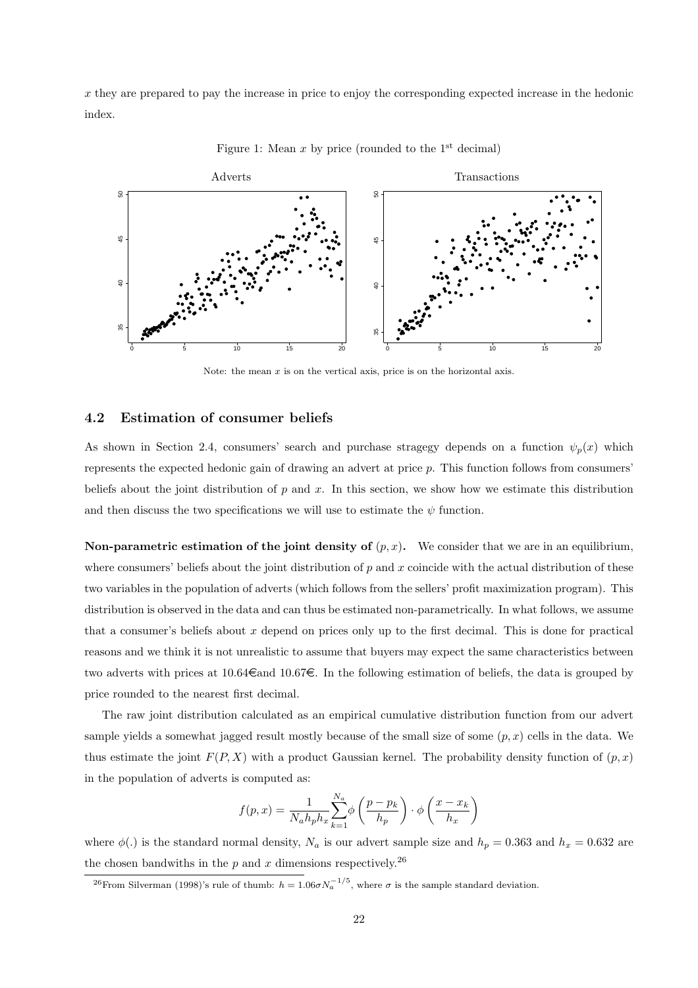x they are prepared to pay the increase in price to enjoy the corresponding expected increase in the hedonic index.



<span id="page-23-1"></span>Figure 1: Mean  $x$  by price (rounded to the 1<sup>st</sup> decimal)

Note: the mean  $x$  is on the vertical axis, price is on the horizontal axis.

#### <span id="page-23-0"></span>4.2 Estimation of consumer beliefs

As shown in Section [2.4,](#page-11-0) consumers' search and purchase stragegy depends on a function  $\psi_p(x)$  which represents the expected hedonic gain of drawing an advert at price  $p$ . This function follows from consumers' beliefs about the joint distribution of  $p$  and  $x$ . In this section, we show how we estimate this distribution and then discuss the two specifications we will use to estimate the  $\psi$  function.

Non-parametric estimation of the joint density of  $(p, x)$ . We consider that we are in an equilibrium, where consumers' beliefs about the joint distribution of  $p$  and  $x$  coincide with the actual distribution of these two variables in the population of adverts (which follows from the sellers' profit maximization program). This distribution is observed in the data and can thus be estimated non-parametrically. In what follows, we assume that a consumer's beliefs about x depend on prices only up to the first decimal. This is done for practical reasons and we think it is not unrealistic to assume that buyers may expect the same characteristics between two adverts with prices at 10.64 $\epsilon$ and 10.67 $\epsilon$ . In the following estimation of beliefs, the data is grouped by price rounded to the nearest first decimal.

The raw joint distribution calculated as an empirical cumulative distribution function from our advert sample yields a somewhat jagged result mostly because of the small size of some  $(p, x)$  cells in the data. We thus estimate the joint  $F(P, X)$  with a product Gaussian kernel. The probability density function of  $(p, x)$ in the population of adverts is computed as:

$$
f(p,x) = \frac{1}{N_a h_p h_x} \sum_{k=1}^{N_a} \phi\left(\frac{p - p_k}{h_p}\right) \cdot \phi\left(\frac{x - x_k}{h_x}\right)
$$

where  $\phi(.)$  is the standard normal density,  $N_a$  is our advert sample size and  $h_p = 0.363$  and  $h_x = 0.632$  are the chosen bandwiths in the  $p$  and  $x$  dimensions respectively.<sup>[26](#page-23-2)</sup>

<span id="page-23-2"></span><sup>&</sup>lt;sup>26</sup> From [Silverman \(1998](#page-37-15))'s rule of thumb:  $h = 1.06 \sigma N_a^{-1/5}$ , where  $\sigma$  is the sample standard deviation.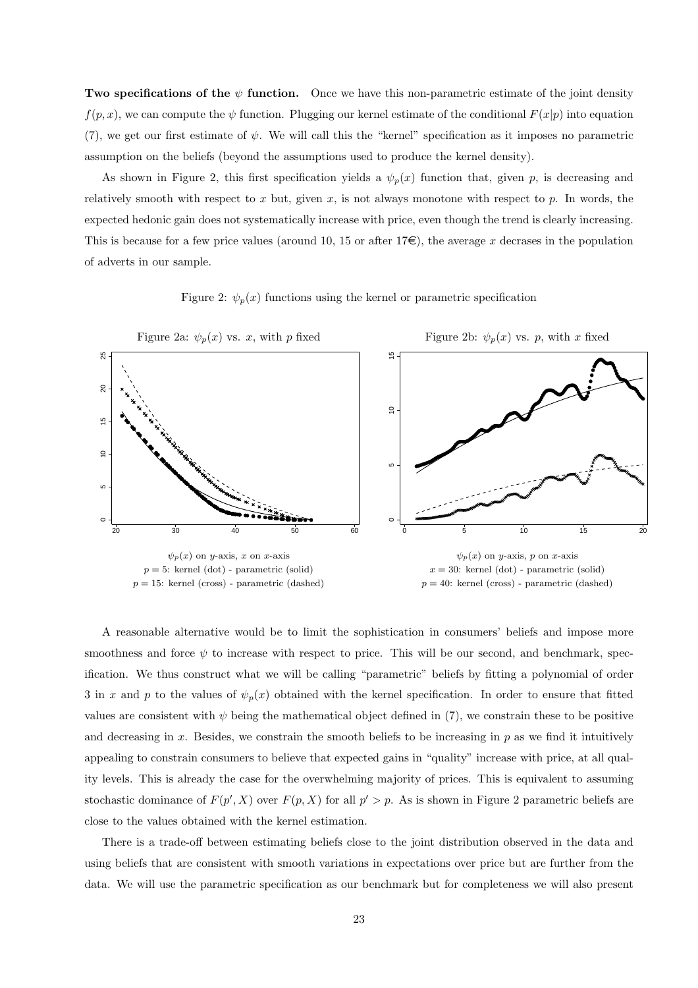Two specifications of the  $\psi$  function. Once we have this non-parametric estimate of the joint density  $f(p, x)$ , we can compute the  $\psi$  function. Plugging our kernel estimate of the conditional  $F(x|p)$  into equation [\(7\)](#page-12-1), we get our first estimate of  $\psi$ . We will call this the "kernel" specification as it imposes no parametric assumption on the beliefs (beyond the assumptions used to produce the kernel density).

As shown in Figure [2,](#page-24-0) this first specification yields a  $\psi_p(x)$  function that, given p, is decreasing and relatively smooth with respect to x but, given x, is not always monotone with respect to  $p$ . In words, the expected hedonic gain does not systematically increase with price, even though the trend is clearly increasing. This is because for a few price values (around 10, 15 or after  $17\epsilon$ ), the average x decrases in the population of adverts in our sample.

<span id="page-24-0"></span>



A reasonable alternative would be to limit the sophistication in consumers' beliefs and impose more smoothness and force  $\psi$  to increase with respect to price. This will be our second, and benchmark, specification. We thus construct what we will be calling "parametric" beliefs by fitting a polynomial of order 3 in x and p to the values of  $\psi_p(x)$  obtained with the kernel specification. In order to ensure that fitted values are consistent with  $\psi$  being the mathematical object defined in [\(7\)](#page-12-1), we constrain these to be positive and decreasing in  $x$ . Besides, we constrain the smooth beliefs to be increasing in  $p$  as we find it intuitively appealing to constrain consumers to believe that expected gains in "quality" increase with price, at all quality levels. This is already the case for the overwhelming majority of prices. This is equivalent to assuming stochastic dominance of  $F(p', X)$  over  $F(p, X)$  for all  $p' > p$ . As is shown in Figure [2](#page-24-0) parametric beliefs are close to the values obtained with the kernel estimation.

There is a trade-off between estimating beliefs close to the joint distribution observed in the data and using beliefs that are consistent with smooth variations in expectations over price but are further from the data. We will use the parametric specification as our benchmark but for completeness we will also present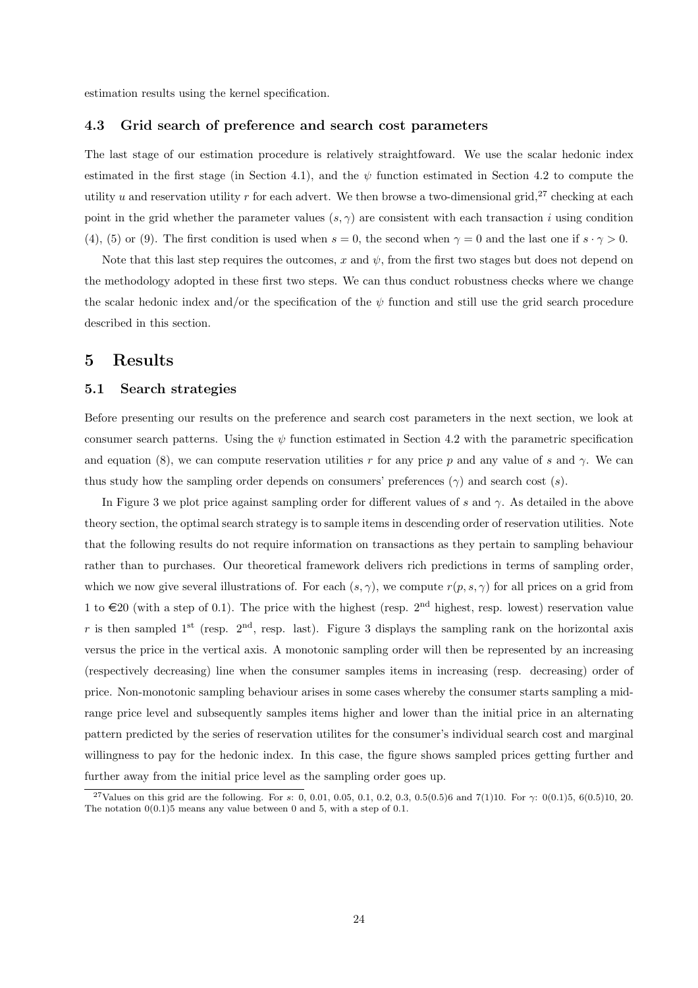estimation results using the kernel specification.

#### 4.3 Grid search of preference and search cost parameters

The last stage of our estimation procedure is relatively straightfoward. We use the scalar hedonic index estimated in the first stage (in Section [4.1\)](#page-20-1), and the  $\psi$  function estimated in Section [4.2](#page-23-0) to compute the utility u and reservation utility r for each advert. We then browse a two-dimensional grid,<sup>[27](#page-25-2)</sup> checking at each point in the grid whether the parameter values  $(s, \gamma)$  are consistent with each transaction i using condition [\(4\)](#page-10-3), [\(5\)](#page-10-4) or [\(9\)](#page-13-1). The first condition is used when  $s = 0$ , the second when  $\gamma = 0$  and the last one if  $s \cdot \gamma > 0$ .

Note that this last step requires the outcomes, x and  $\psi$ , from the first two stages but does not depend on the methodology adopted in these first two steps. We can thus conduct robustness checks where we change the scalar hedonic index and/or the specification of the  $\psi$  function and still use the grid search procedure described in this section.

### <span id="page-25-1"></span><span id="page-25-0"></span>5 Results

#### 5.1 Search strategies

Before presenting our results on the preference and search cost parameters in the next section, we look at consumer search patterns. Using the  $\psi$  function estimated in Section [4.2](#page-23-0) with the parametric specification and equation [\(8\)](#page-12-0), we can compute reservation utilities r for any price p and any value of s and  $\gamma$ . We can thus study how the sampling order depends on consumers' preferences  $(\gamma)$  and search cost  $(s)$ .

In Figure [3](#page-26-0) we plot price against sampling order for different values of s and  $\gamma$ . As detailed in the above theory section, the optimal search strategy is to sample items in descending order of reservation utilities. Note that the following results do not require information on transactions as they pertain to sampling behaviour rather than to purchases. Our theoretical framework delivers rich predictions in terms of sampling order, which we now give several illustrations of. For each  $(s, \gamma)$ , we compute  $r(p, s, \gamma)$  for all prices on a grid from 1 to  $\in$  20 (with a step of 0.1). The price with the highest (resp. 2<sup>nd</sup> highest, resp. lowest) reservation value r is then sampled 1<sup>st</sup> (resp.  $2<sup>nd</sup>$ , resp. last). Figure [3](#page-26-0) displays the sampling rank on the horizontal axis versus the price in the vertical axis. A monotonic sampling order will then be represented by an increasing (respectively decreasing) line when the consumer samples items in increasing (resp. decreasing) order of price. Non-monotonic sampling behaviour arises in some cases whereby the consumer starts sampling a midrange price level and subsequently samples items higher and lower than the initial price in an alternating pattern predicted by the series of reservation utilites for the consumer's individual search cost and marginal willingness to pay for the hedonic index. In this case, the figure shows sampled prices getting further and further away from the initial price level as the sampling order goes up.

<span id="page-25-2"></span><sup>&</sup>lt;sup>27</sup>Values on this grid are the following. For s: 0, 0.01, 0.05, 0.1, 0.2, 0.3, 0.5(0.5)6 and 7(1)10. For  $\gamma$ : 0(0.1)5, 6(0.5)10, 20. The notation  $0(0.1)5$  means any value between 0 and 5, with a step of 0.1.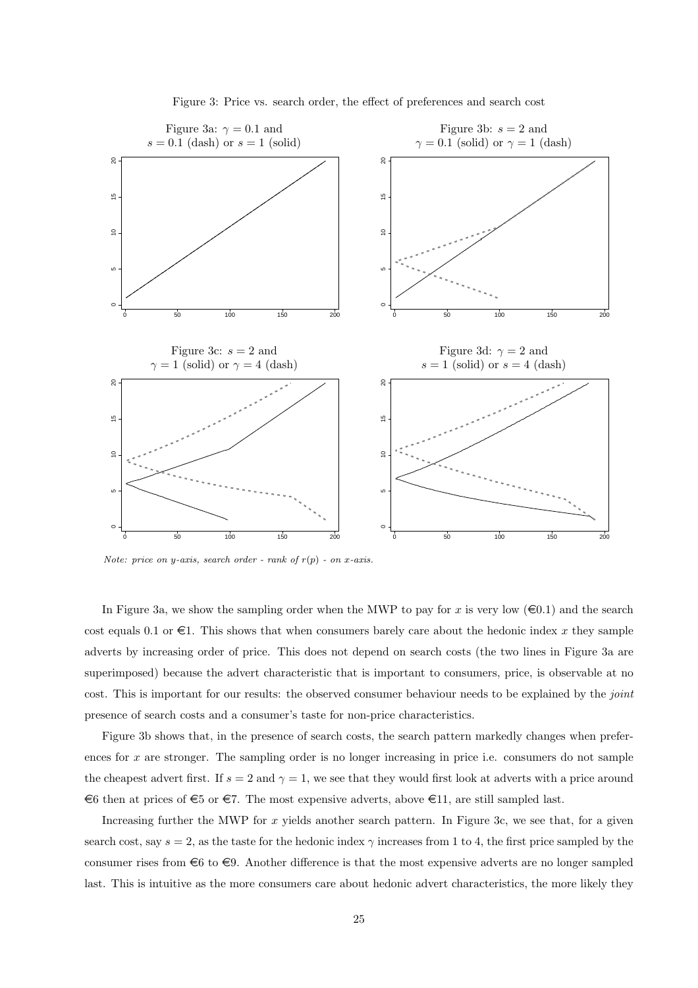

<span id="page-26-0"></span>Figure 3: Price vs. search order, the effect of preferences and search cost

*Note: price on y-axis, search order - rank of*  $r(p)$  - *on x-axis.* 

In Figure [3a](#page-26-0), we show the sampling order when the MWP to pay for x is very low ( $\epsilon$ 0.1) and the search cost equals 0.1 or  $\epsilon$ 1. This shows that when consumers barely care about the hedonic index x they sample adverts by increasing order of price. This does not depend on search costs (the two lines in Figure [3a](#page-26-0) are superimposed) because the advert characteristic that is important to consumers, price, is observable at no cost. This is important for our results: the observed consumer behaviour needs to be explained by the *joint* presence of search costs and a consumer's taste for non-price characteristics.

Figure [3b](#page-26-0) shows that, in the presence of search costs, the search pattern markedly changes when preferences for  $x$  are stronger. The sampling order is no longer increasing in price i.e. consumers do not sample the cheapest advert first. If  $s = 2$  and  $\gamma = 1$ , we see that they would first look at adverts with a price around  $\epsilon$ 6 then at prices of  $\epsilon$ 5 or  $\epsilon$ 7. The most expensive adverts, above  $\epsilon$ 11, are still sampled last.

Increasing further the MWP for  $x$  yields another search pattern. In Figure [3c](#page-26-0), we see that, for a given search cost, say  $s = 2$ , as the taste for the hedonic index  $\gamma$  increases from 1 to 4, the first price sampled by the consumer rises from  $\epsilon_6$  to  $\epsilon_9$ . Another difference is that the most expensive adverts are no longer sampled last. This is intuitive as the more consumers care about hedonic advert characteristics, the more likely they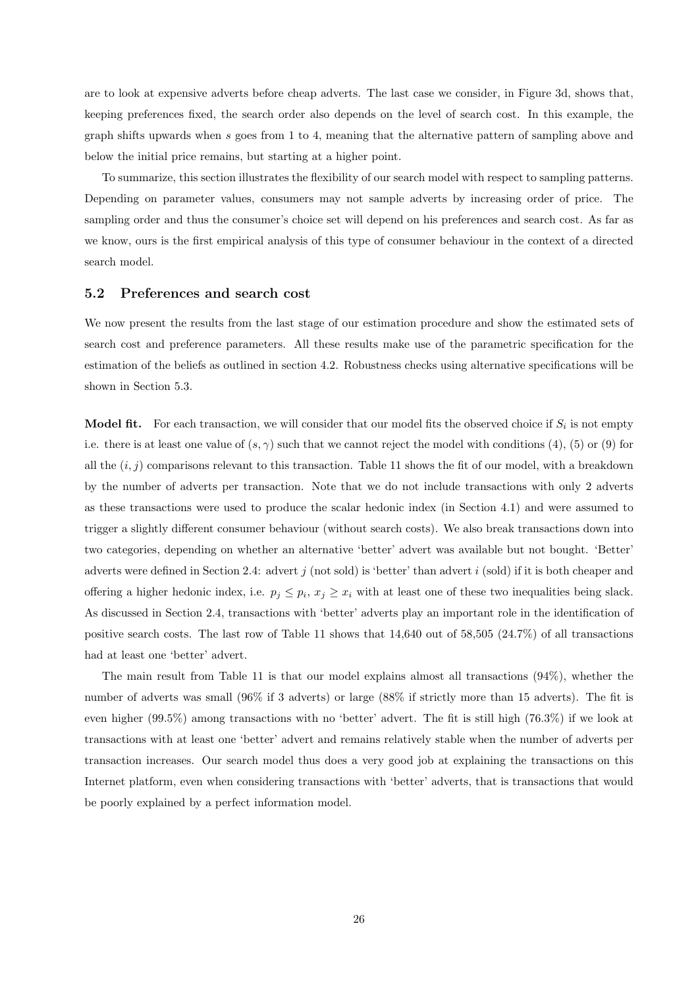are to look at expensive adverts before cheap adverts. The last case we consider, in Figure [3d](#page-26-0), shows that, keeping preferences fixed, the search order also depends on the level of search cost. In this example, the graph shifts upwards when s goes from 1 to 4, meaning that the alternative pattern of sampling above and below the initial price remains, but starting at a higher point.

To summarize, this section illustrates the flexibility of our search model with respect to sampling patterns. Depending on parameter values, consumers may not sample adverts by increasing order of price. The sampling order and thus the consumer's choice set will depend on his preferences and search cost. As far as we know, ours is the first empirical analysis of this type of consumer behaviour in the context of a directed search model.

#### <span id="page-27-0"></span>5.2 Preferences and search cost

We now present the results from the last stage of our estimation procedure and show the estimated sets of search cost and preference parameters. All these results make use of the parametric specification for the estimation of the beliefs as outlined in section [4.2.](#page-23-0) Robustness checks using alternative specifications will be shown in Section [5.3.](#page-33-0)

**Model fit.** For each transaction, we will consider that our model fits the observed choice if  $S_i$  is not empty i.e. there is at least one value of  $(s, \gamma)$  such that we cannot reject the model with conditions [\(4\)](#page-10-3), [\(5\)](#page-10-4) or [\(9\)](#page-13-1) for all the  $(i, j)$  comparisons relevant to this transaction. Table [11](#page-28-0) shows the fit of our model, with a breakdown by the number of adverts per transaction. Note that we do not include transactions with only 2 adverts as these transactions were used to produce the scalar hedonic index (in Section [4.1\)](#page-20-1) and were assumed to trigger a slightly different consumer behaviour (without search costs). We also break transactions down into two categories, depending on whether an alternative 'better' advert was available but not bought. 'Better' adverts were defined in Section [2.4:](#page-11-0) advert j (not sold) is 'better' than advert i (sold) if it is both cheaper and offering a higher hedonic index, i.e.  $p_j \leq p_i$ ,  $x_j \geq x_i$  with at least one of these two inequalities being slack. As discussed in Section [2.4,](#page-11-0) transactions with 'better' adverts play an important role in the identification of positive search costs. The last row of Table [11](#page-28-0) shows that 14,640 out of 58,505 (24.7%) of all transactions had at least one 'better' advert.

The main result from Table [11](#page-28-0) is that our model explains almost all transactions (94%), whether the number of adverts was small (96% if 3 adverts) or large (88% if strictly more than 15 adverts). The fit is even higher (99.5%) among transactions with no 'better' advert. The fit is still high (76.3%) if we look at transactions with at least one 'better' advert and remains relatively stable when the number of adverts per transaction increases. Our search model thus does a very good job at explaining the transactions on this Internet platform, even when considering transactions with 'better' adverts, that is transactions that would be poorly explained by a perfect information model.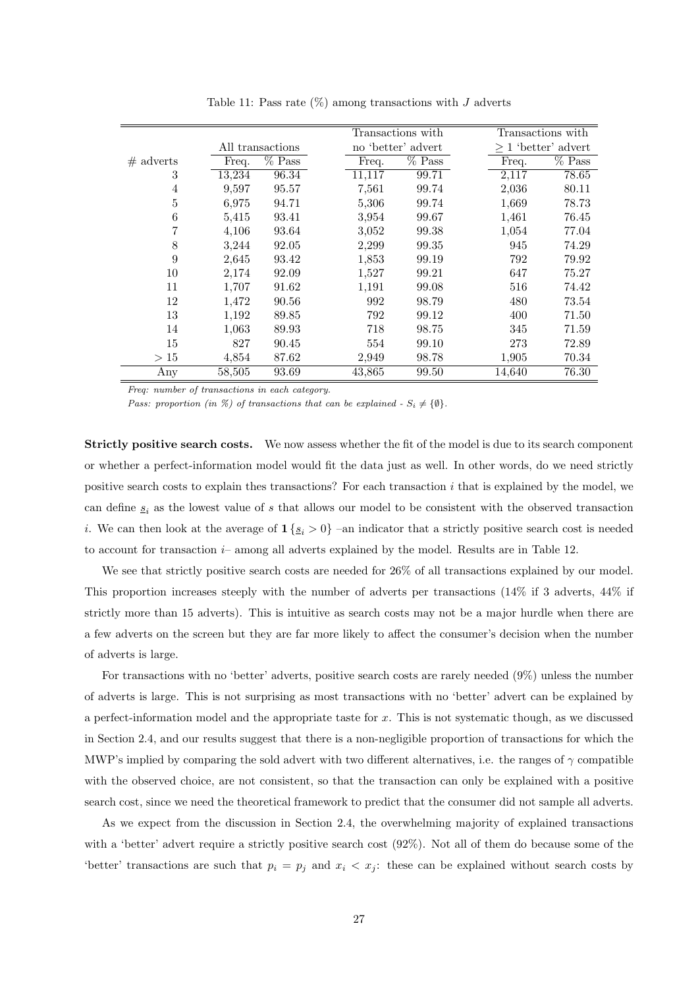|             |        |                     |        | Transactions with  |        | Transactions with        |
|-------------|--------|---------------------|--------|--------------------|--------|--------------------------|
|             |        | All transactions    |        | no 'better' advert |        | $\geq 1$ 'better' advert |
| $#$ adverts | Freq.  | $\overline{\%$ Pass | Freq.  | $%$ Pass           | Freq.  | $%$ Pass                 |
| 3           | 13,234 | 96.34               | 11,117 | 99.71              | 2,117  | $\overline{78.65}$       |
| 4           | 9,597  | 95.57               | 7,561  | 99.74              | 2,036  | 80.11                    |
| 5           | 6,975  | 94.71               | 5,306  | 99.74              | 1,669  | 78.73                    |
| 6           | 5,415  | 93.41               | 3,954  | 99.67              | 1,461  | 76.45                    |
| 7           | 4,106  | 93.64               | 3,052  | 99.38              | 1,054  | 77.04                    |
| 8           | 3,244  | 92.05               | 2,299  | 99.35              | 945    | 74.29                    |
| 9           | 2,645  | 93.42               | 1,853  | 99.19              |        | 792<br>79.92             |
| 10          | 2,174  | 92.09               | 1,527  | 99.21              | 647    | 75.27                    |
| 11          | 1,707  | 91.62               | 1,191  | 99.08              |        | 516<br>74.42             |
| 12          | 1,472  | 90.56               | 992    | 98.79              |        | 480<br>73.54             |
| 13          | 1,192  | 89.85               | 792    | 99.12              |        | 400<br>71.50             |
| 14          | 1,063  | 89.93               | 718    | 98.75              |        | 345<br>71.59             |
| 15          | 827    | 90.45               | 554    | 99.10              |        | 273<br>72.89             |
| >15         | 4,854  | 87.62               | 2,949  | 98.78              | 1,905  | 70.34                    |
| Any         | 58,505 | 93.69               | 43,865 | 99.50              | 14,640 | 76.30                    |
|             |        |                     |        |                    |        |                          |

<span id="page-28-0"></span>Table 11: Pass rate  $(\%)$  among transactions with J adverts

*Freq: number of transactions in each category.*

*Pass: proportion (in %) of transactions that can be explained -*  $S_i \neq \{\emptyset\}$ *.* 

Strictly positive search costs. We now assess whether the fit of the model is due to its search component or whether a perfect-information model would fit the data just as well. In other words, do we need strictly positive search costs to explain thes transactions? For each transaction  $i$  that is explained by the model, we can define  $s_i$  as the lowest value of s that allows our model to be consistent with the observed transaction i. We can then look at the average of  $1 \{s_i > 0\}$  –an indicator that a strictly positive search cost is needed to account for transaction  $i-$  among all adverts explained by the model. Results are in Table [12.](#page-29-0)

We see that strictly positive search costs are needed for 26% of all transactions explained by our model. This proportion increases steeply with the number of adverts per transactions (14% if 3 adverts, 44% if strictly more than 15 adverts). This is intuitive as search costs may not be a major hurdle when there are a few adverts on the screen but they are far more likely to affect the consumer's decision when the number of adverts is large.

For transactions with no 'better' adverts, positive search costs are rarely needed (9%) unless the number of adverts is large. This is not surprising as most transactions with no 'better' advert can be explained by a perfect-information model and the appropriate taste for  $x$ . This is not systematic though, as we discussed in Section [2.4,](#page-11-0) and our results suggest that there is a non-negligible proportion of transactions for which the MWP's implied by comparing the sold advert with two different alternatives, i.e. the ranges of  $\gamma$  compatible with the observed choice, are not consistent, so that the transaction can only be explained with a positive search cost, since we need the theoretical framework to predict that the consumer did not sample all adverts.

As we expect from the discussion in Section [2.4,](#page-11-0) the overwhelming majority of explained transactions with a 'better' advert require a strictly positive search cost  $(92\%)$ . Not all of them do because some of the 'better' transactions are such that  $p_i = p_j$  and  $x_i < x_j$ : these can be explained without search costs by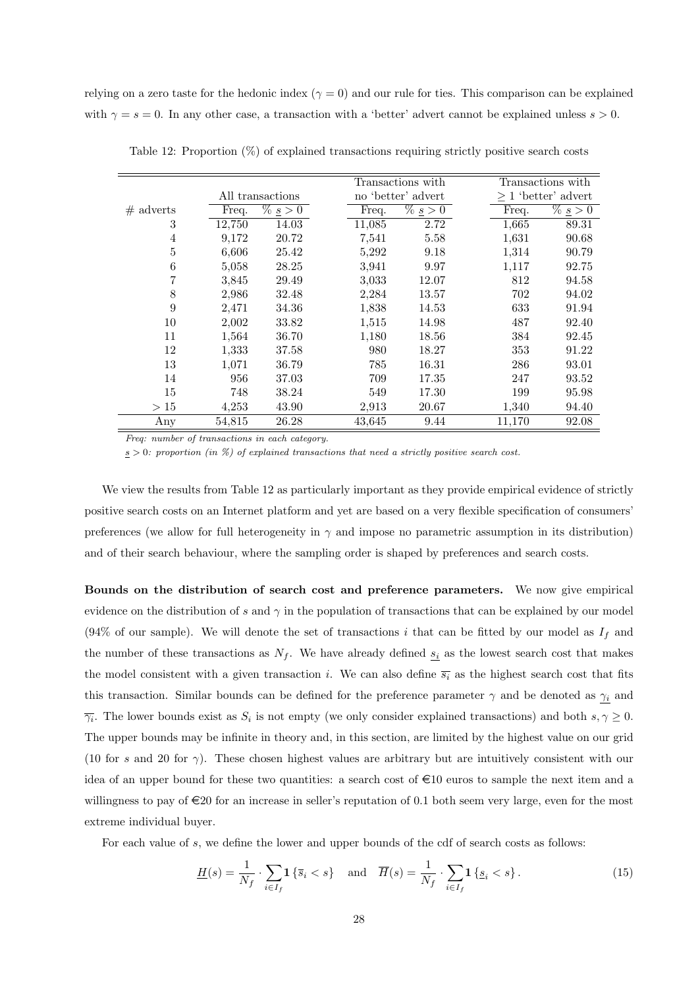relying on a zero taste for the hedonic index ( $\gamma = 0$ ) and our rule for ties. This comparison can be explained with  $\gamma = s = 0$ . In any other case, a transaction with a 'better' advert cannot be explained unless  $s > 0$ .

|                |        |                                     |        | Transactions with        |        | Transactions with                   |
|----------------|--------|-------------------------------------|--------|--------------------------|--------|-------------------------------------|
|                |        | All transactions                    |        | no 'better' advert       |        | $>1$ 'better' advert                |
| $#$ adverts    | Freq.  | $\overline{\%}$ $\underline{s} > 0$ | Freq.  | $\sqrt{\frac{g}{2}} > 0$ | Freq.  | $\overline{\%}$ $\underline{s}$ > 0 |
| 3              | 12,750 | 14.03                               | 11,085 | 2.72                     | 1,665  | 89.31                               |
| $\overline{4}$ | 9,172  | 20.72                               | 7,541  | 5.58                     | 1,631  | 90.68                               |
| $\overline{5}$ | 6,606  | 25.42                               | 5,292  | 9.18                     | 1,314  | 90.79                               |
| 6              | 5,058  | 28.25                               | 3,941  | 9.97                     | 1,117  | 92.75                               |
| 7              | 3,845  | 29.49                               | 3,033  | 12.07                    | 812    | 94.58                               |
| 8              | 2,986  | 32.48                               | 2,284  | 13.57                    | 702    | 94.02                               |
| 9              | 2,471  | 34.36                               | 1,838  | 14.53                    | 633    | 91.94                               |
| 10             | 2,002  | 33.82                               | 1,515  | 14.98                    | 487    | 92.40                               |
| 11             | 1,564  | 36.70                               | 1,180  | 18.56                    | 384    | 92.45                               |
| 12             | 1,333  | 37.58                               | 980    | 18.27                    | 353    | 91.22                               |
| 13             | 1,071  | 36.79                               | 785    | 16.31                    | 286    | 93.01                               |
| 14             | 956    | 37.03                               | 709    | 17.35                    | 247    | 93.52                               |
| 15             | 748    | 38.24                               | 549    | 17.30                    | 199    | 95.98                               |
| >15            | 4,253  | 43.90                               | 2,913  | 20.67                    | 1,340  | 94.40                               |
| Any            | 54,815 | 26.28                               | 43,645 | 9.44                     | 11,170 | 92.08                               |

<span id="page-29-0"></span>Table 12: Proportion (%) of explained transactions requiring strictly positive search costs

*Freq: number of transactions in each category.*

s > 0*: proportion (in %) of explained transactions that need a strictly positive search cost.*

We view the results from Table [12](#page-29-0) as particularly important as they provide empirical evidence of strictly positive search costs on an Internet platform and yet are based on a very flexible specification of consumers' preferences (we allow for full heterogeneity in  $\gamma$  and impose no parametric assumption in its distribution) and of their search behaviour, where the sampling order is shaped by preferences and search costs.

Bounds on the distribution of search cost and preference parameters. We now give empirical evidence on the distribution of s and  $\gamma$  in the population of transactions that can be explained by our model (94% of our sample). We will denote the set of transactions i that can be fitted by our model as  $I_f$  and the number of these transactions as  $N_f$ . We have already defined  $s_i$  as the lowest search cost that makes the model consistent with a given transaction i. We can also define  $\overline{s_i}$  as the highest search cost that fits this transaction. Similar bounds can be defined for the preference parameter  $\gamma$  and be denoted as  $\gamma_i$  and  $\overline{\gamma_i}$ . The lower bounds exist as  $S_i$  is not empty (we only consider explained transactions) and both  $s, \gamma \geq 0$ . The upper bounds may be infinite in theory and, in this section, are limited by the highest value on our grid (10 for s and 20 for  $\gamma$ ). These chosen highest values are arbitrary but are intuitively consistent with our idea of an upper bound for these two quantities: a search cost of  $\epsilon 10$  euros to sample the next item and a willingness to pay of  $\in 20$  for an increase in seller's reputation of 0.1 both seem very large, even for the most extreme individual buyer.

For each value of s, we define the lower and upper bounds of the cdf of search costs as follows:

<span id="page-29-1"></span>
$$
\underline{H}(s) = \frac{1}{N_f} \cdot \sum_{i \in I_f} \mathbf{1} \left\{ \overline{s}_i < s \right\} \quad \text{and} \quad \overline{H}(s) = \frac{1}{N_f} \cdot \sum_{i \in I_f} \mathbf{1} \left\{ \underline{s}_i < s \right\} . \tag{15}
$$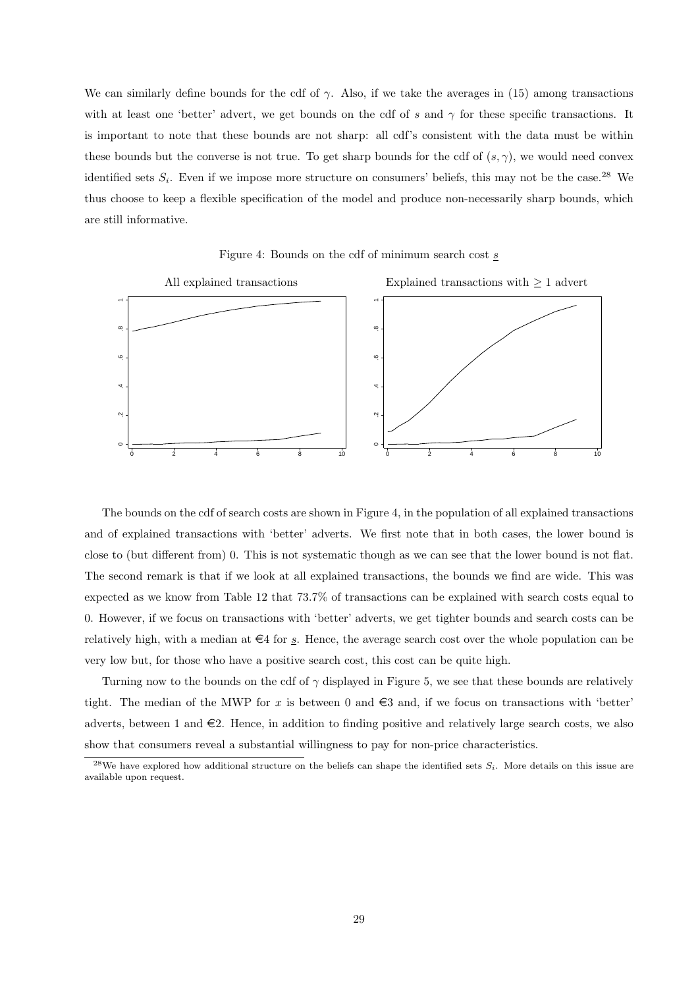We can similarly define bounds for the cdf of  $\gamma$ . Also, if we take the averages in [\(15\)](#page-29-1) among transactions with at least one 'better' advert, we get bounds on the cdf of s and  $\gamma$  for these specific transactions. It is important to note that these bounds are not sharp: all cdf's consistent with the data must be within these bounds but the converse is not true. To get sharp bounds for the cdf of  $(s, \gamma)$ , we would need convex identified sets  $S_i$ . Even if we impose more structure on consumers' beliefs, this may not be the case.<sup>[28](#page-30-0)</sup> We thus choose to keep a flexible specification of the model and produce non-necessarily sharp bounds, which are still informative.



<span id="page-30-1"></span>Figure 4: Bounds on the cdf of minimum search cost s

The bounds on the cdf of search costs are shown in Figure [4,](#page-30-1) in the population of all explained transactions and of explained transactions with 'better' adverts. We first note that in both cases, the lower bound is close to (but different from) 0. This is not systematic though as we can see that the lower bound is not flat. The second remark is that if we look at all explained transactions, the bounds we find are wide. This was expected as we know from Table [12](#page-29-0) that 73.7% of transactions can be explained with search costs equal to 0. However, if we focus on transactions with 'better' adverts, we get tighter bounds and search costs can be relatively high, with a median at  $\in$ 4 for s. Hence, the average search cost over the whole population can be very low but, for those who have a positive search cost, this cost can be quite high.

Turning now to the bounds on the cdf of  $\gamma$  displayed in Figure [5,](#page-31-0) we see that these bounds are relatively tight. The median of the MWP for x is between 0 and  $\epsilon$ 3 and, if we focus on transactions with 'better' adverts, between 1 and  $\in$ 2. Hence, in addition to finding positive and relatively large search costs, we also show that consumers reveal a substantial willingness to pay for non-price characteristics.

<span id="page-30-0"></span><sup>&</sup>lt;sup>28</sup>We have explored how additional structure on the beliefs can shape the identified sets  $S_i$ . More details on this issue are available upon request.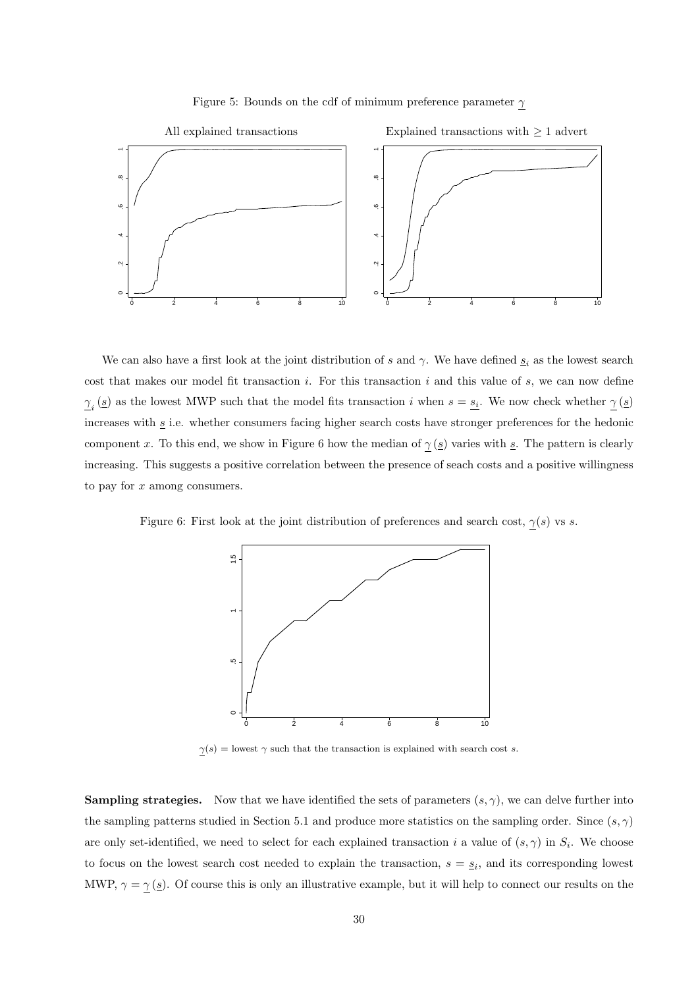

<span id="page-31-0"></span>Figure 5: Bounds on the cdf of minimum preference parameter  $\gamma$ 

We can also have a first look at the joint distribution of s and  $\gamma$ . We have defined  $\underline{s}_i$  as the lowest search cost that makes our model fit transaction  $i$ . For this transaction  $i$  and this value of  $s$ , we can now define  $\gamma_i(s)$  as the lowest MWP such that the model fits transaction i when  $s = s_i$ . We now check whether  $\gamma(s)$ increases with  $\underline{s}$  i.e. whether consumers facing higher search costs have stronger preferences for the hedonic component x. To this end, we show in Figure [6](#page-31-1) how the median of  $\gamma(g)$  varies with s. The pattern is clearly increasing. This suggests a positive correlation between the presence of seach costs and a positive willingness to pay for x among consumers.

Figure 6: First look at the joint distribution of preferences and search cost,  $\gamma(s)$  vs s.

<span id="page-31-1"></span>

 $\underline{\gamma}(s) =$  lowest  $\gamma$  such that the transaction is explained with search cost s.

**Sampling strategies.** Now that we have identified the sets of parameters  $(s, \gamma)$ , we can delve further into the sampling patterns studied in Section [5.1](#page-25-1) and produce more statistics on the sampling order. Since  $(s, \gamma)$ are only set-identified, we need to select for each explained transaction i a value of  $(s, \gamma)$  in  $S_i$ . We choose to focus on the lowest search cost needed to explain the transaction,  $s = s_i$ , and its corresponding lowest MWP,  $\gamma = \gamma(\underline{s})$ . Of course this is only an illustrative example, but it will help to connect our results on the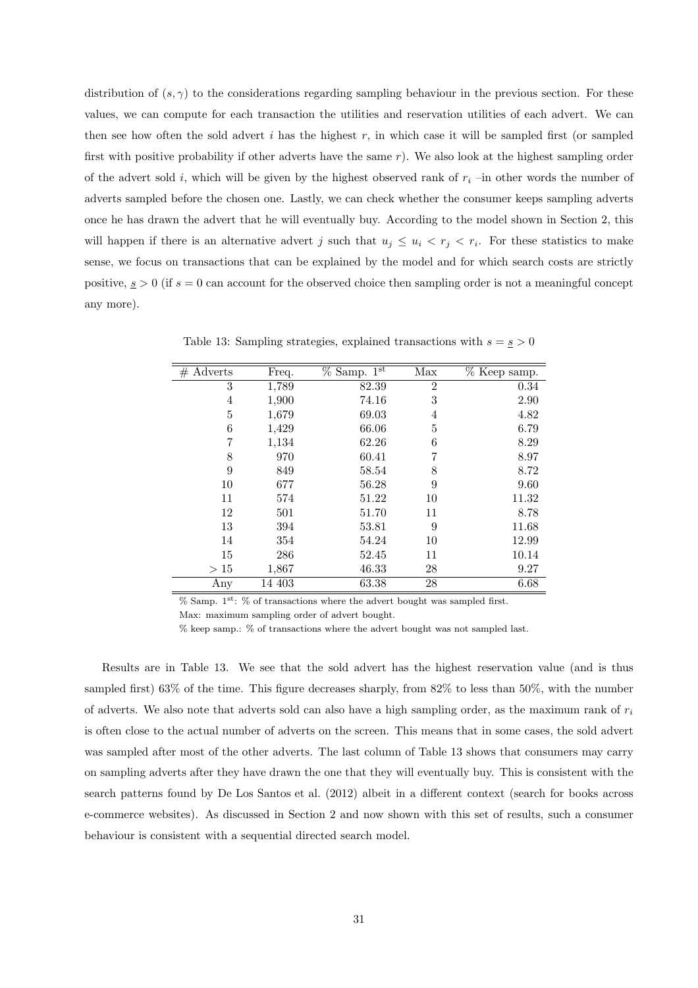distribution of  $(s, \gamma)$  to the considerations regarding sampling behaviour in the previous section. For these values, we can compute for each transaction the utilities and reservation utilities of each advert. We can then see how often the sold advert  $i$  has the highest  $r$ , in which case it will be sampled first (or sampled first with positive probability if other adverts have the same r). We also look at the highest sampling order of the advert sold i, which will be given by the highest observed rank of  $r_i$  –in other words the number of adverts sampled before the chosen one. Lastly, we can check whether the consumer keeps sampling adverts once he has drawn the advert that he will eventually buy. According to the model shown in Section [2,](#page-6-1) this will happen if there is an alternative advert j such that  $u_j \leq u_i < r_j < r_i$ . For these statistics to make sense, we focus on transactions that can be explained by the model and for which search costs are strictly positive,  $s > 0$  (if  $s = 0$  can account for the observed choice then sampling order is not a meaningful concept any more).

| $#$ Adverts | Freq.  | $%$ Samp. $1st$ | Max            | % Keep samp. |
|-------------|--------|-----------------|----------------|--------------|
| 3           | 1,789  | 82.39           | $\overline{2}$ | 0.34         |
| 4           | 1,900  | 74.16           | 3              | 2.90         |
| 5           | 1,679  | 69.03           | 4              | 4.82         |
| 6           | 1,429  | 66.06           | 5              | 6.79         |
| 7           | 1,134  | 62.26           | 6              | 8.29         |
| 8           | 970    | 60.41           | 7              | 8.97         |
| 9           | 849    | 58.54           | 8              | 8.72         |
| 10          | 677    | 56.28           | 9              | 9.60         |
| 11          | 574    | 51.22           | 10             | 11.32        |
| 12          | 501    | 51.70           | 11             | 8.78         |
| 13          | 394    | 53.81           | 9              | 11.68        |
| 14          | 354    | 54.24           | 10             | 12.99        |
| 15          | 286    | 52.45           | 11             | 10.14        |
| >15         | 1,867  | 46.33           | 28             | 9.27         |
| Any         | 14 403 | 63.38           | 28             | 6.68         |

<span id="page-32-0"></span>Table 13: Sampling strategies, explained transactions with  $s = s > 0$ 

 $%$  Samp. 1<sup>st</sup>:  $%$  of transactions where the advert bought was sampled first.

Max: maximum sampling order of advert bought.

% keep samp.: % of transactions where the advert bought was not sampled last.

Results are in Table [13.](#page-32-0) We see that the sold advert has the highest reservation value (and is thus sampled first) 63% of the time. This figure decreases sharply, from 82% to less than 50%, with the number of adverts. We also note that adverts sold can also have a high sampling order, as the maximum rank of  $r_i$ is often close to the actual number of adverts on the screen. This means that in some cases, the sold advert was sampled after most of the other adverts. The last column of Table [13](#page-32-0) shows that consumers may carry on sampling adverts after they have drawn the one that they will eventually buy. This is consistent with the search patterns found by [De Los Santos et al. \(2012](#page-37-1)) albeit in a different context (search for books across e-commerce websites). As discussed in Section [2](#page-6-1) and now shown with this set of results, such a consumer behaviour is consistent with a sequential directed search model.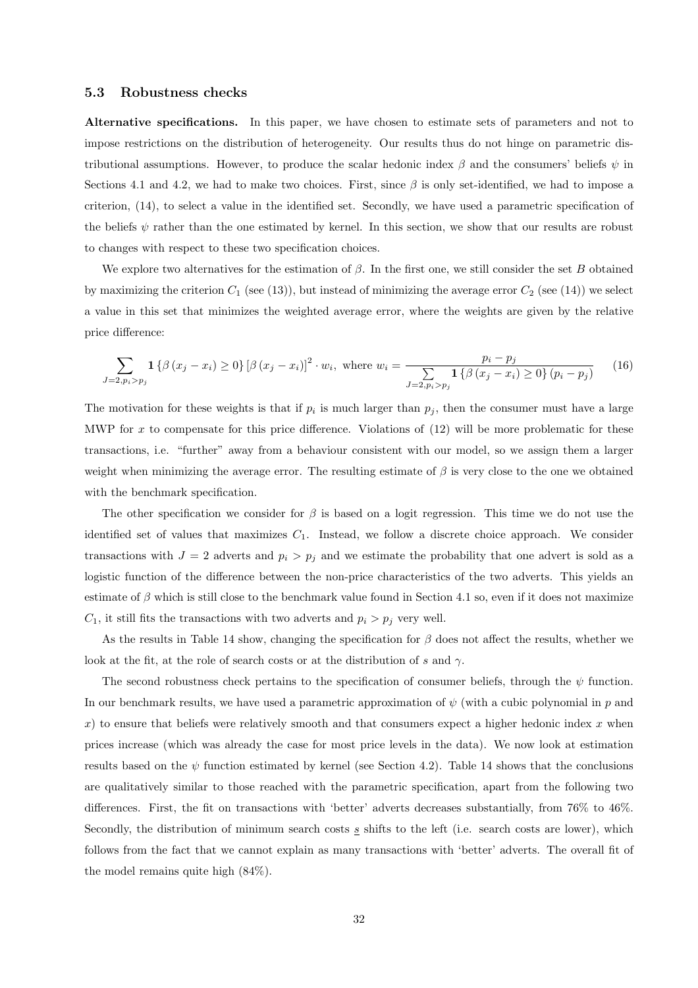#### <span id="page-33-0"></span>5.3 Robustness checks

Alternative specifications. In this paper, we have chosen to estimate sets of parameters and not to impose restrictions on the distribution of heterogeneity. Our results thus do not hinge on parametric distributional assumptions. However, to produce the scalar hedonic index  $\beta$  and the consumers' beliefs  $\psi$  in Sections [4.1](#page-20-1) and [4.2,](#page-23-0) we had to make two choices. First, since  $\beta$  is only set-identified, we had to impose a criterion, [\(14\)](#page-22-2), to select a value in the identified set. Secondly, we have used a parametric specification of the beliefs  $\psi$  rather than the one estimated by kernel. In this section, we show that our results are robust to changes with respect to these two specification choices.

We explore two alternatives for the estimation of  $\beta$ . In the first one, we still consider the set B obtained by maximizing the criterion  $C_1$  (see [\(13\)](#page-21-4)), but instead of minimizing the average error  $C_2$  (see [\(14\)](#page-22-2)) we select a value in this set that minimizes the weighted average error, where the weights are given by the relative price difference:

$$
\sum_{J=2, p_i > p_j} \mathbf{1} \left\{ \beta \left( x_j - x_i \right) \ge 0 \right\} \left[ \beta \left( x_j - x_i \right) \right]^2 \cdot w_i, \text{ where } w_i = \frac{p_i - p_j}{\sum_{J=2, p_i > p_j} \mathbf{1} \left\{ \beta \left( x_j - x_i \right) \ge 0 \right\} \left( p_i - p_j \right)} \tag{16}
$$

The motivation for these weights is that if  $p_i$  is much larger than  $p_j$ , then the consumer must have a large MWP for  $x$  to compensate for this price difference. Violations of  $(12)$  will be more problematic for these transactions, i.e. "further" away from a behaviour consistent with our model, so we assign them a larger weight when minimizing the average error. The resulting estimate of  $\beta$  is very close to the one we obtained with the benchmark specification.

The other specification we consider for  $\beta$  is based on a logit regression. This time we do not use the identified set of values that maximizes  $C_1$ . Instead, we follow a discrete choice approach. We consider transactions with  $J = 2$  adverts and  $p_i > p_j$  and we estimate the probability that one advert is sold as a logistic function of the difference between the non-price characteristics of the two adverts. This yields an estimate of  $\beta$  which is still close to the benchmark value found in Section [4.1](#page-20-1) so, even if it does not maximize  $C_1$ , it still fits the transactions with two adverts and  $p_i > p_j$  very well.

As the results in Table [14](#page-34-0) show, changing the specification for  $\beta$  does not affect the results, whether we look at the fit, at the role of search costs or at the distribution of s and  $\gamma$ .

The second robustness check pertains to the specification of consumer beliefs, through the  $\psi$  function. In our benchmark results, we have used a parametric approximation of  $\psi$  (with a cubic polynomial in p and x) to ensure that beliefs were relatively smooth and that consumers expect a higher hedonic index x when prices increase (which was already the case for most price levels in the data). We now look at estimation results based on the  $\psi$  function estimated by kernel (see Section [4.2\)](#page-23-0). Table [14](#page-34-0) shows that the conclusions are qualitatively similar to those reached with the parametric specification, apart from the following two differences. First, the fit on transactions with 'better' adverts decreases substantially, from 76% to 46%. Secondly, the distribution of minimum search costs  $s$  shifts to the left (i.e. search costs are lower), which follows from the fact that we cannot explain as many transactions with 'better' adverts. The overall fit of the model remains quite high (84%).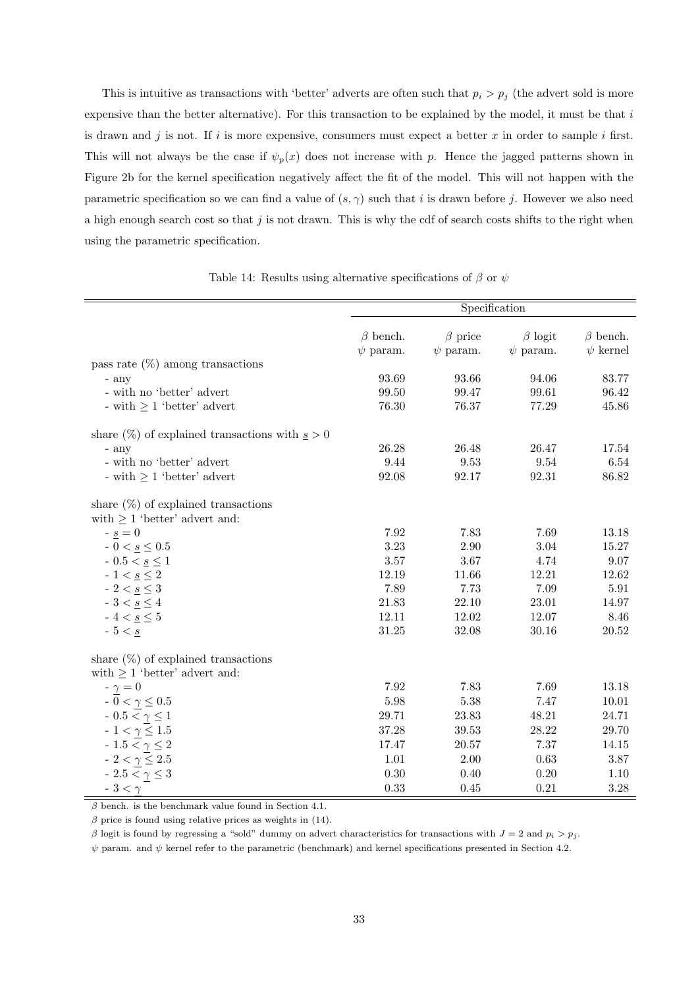This is intuitive as transactions with 'better' adverts are often such that  $p_i > p_j$  (the advert sold is more expensive than the better alternative). For this transaction to be explained by the model, it must be that  $i$ is drawn and j is not. If i is more expensive, consumers must expect a better x in order to sample i first. This will not always be the case if  $\psi_p(x)$  does not increase with p. Hence the jagged patterns shown in Figure [2b](#page-24-0) for the kernel specification negatively affect the fit of the model. This will not happen with the parametric specification so we can find a value of  $(s, \gamma)$  such that i is drawn before j. However we also need a high enough search cost so that j is not drawn. This is why the cdf of search costs shifts to the right when using the parametric specification.

Specification β bench. β price β logit β bench.  $\psi$  param.  $\psi$  param.  $\psi$  param.  $\psi$  kernel pass rate  $(\%)$  among transactions - any 93.69 93.66 94.06 83.77 - with no 'better' advert  $99.50$   $99.47$   $99.61$   $96.42$ - with  $\geq 1$  'better' advert 76.30 76.37 77.29 45.86 share  $(\%)$  of explained transactions with  $s > 0$ - any 26.28 26.48 26.47 17.54 - with no 'better' advert 9.44 9.53 9.54 6.54 - with  $\geq 1$  'better' advert 92.08 92.17 92.31 86.82 share  $(\%)$  of explained transactions with  $\geq 1$  'better' advert and:  $\frac{s}{5} = 0$  7.92 7.83 7.69 13.18  $-0 < \underline{s} \leq 0.5$   $3.23$   $2.90$   $3.04$   $15.27$  $-0.5 < \underline{s} \le 1$   $3.57$   $3.67$   $4.74$   $9.07$ -  $1 < \underline{s} \le 2$  12.19 11.66 12.21 12.62  $-2 < \underline{s} \leq 3$  7.89 7.73 7.09 5.91  $-3 < \underline{s} \le 4$  21.83 22.10 23.01 14.97 -  $4 < \underline{s} \le 5$  12.11 12.02 12.07 8.46  $-5 < \underline{s}$  31.25  $31.25$  32.08  $30.16$  20.52 share  $(\%)$  of explained transactions with  $\geq 1$  'better' advert and:  $- \gamma = 0$  7.92 7.83 7.69 13.18  $-0 < \gamma \le 0.5$  5.98 5.38 7.47 10.01  $-0.5 < \gamma \le 1$  29.71 23.83 48.21 24.71  $-1 < \gamma \le 1.5$   $37.28$   $39.53$   $28.22$   $29.70$  $-1.5 < \gamma \le 2$  17.47 20.57 7.37 14.15  $-2 < \gamma \le 2.5$  1.01 2.00 0.63 3.87  $-2.5 < \gamma \le 3$  0.30 0.40 0.20 1.10  $-3 < \gamma$  0.33 0.45 0.21 3.28

<span id="page-34-0"></span>Table 14: Results using alternative specifications of  $\beta$  or  $\psi$ 

 $\beta$  bench. is the benchmark value found in Section [4.1.](#page-20-1)

 $β$  price is found using relative prices as weights in [\(14\)](#page-22-2).

β logit is found by regressing a "sold" dummy on advert characteristics for transactions with  $J = 2$  and  $p_i > p_j$ .

 $\psi$  param. and  $\psi$  kernel refer to the parametric (benchmark) and kernel specifications presented in Section [4.2.](#page-23-0)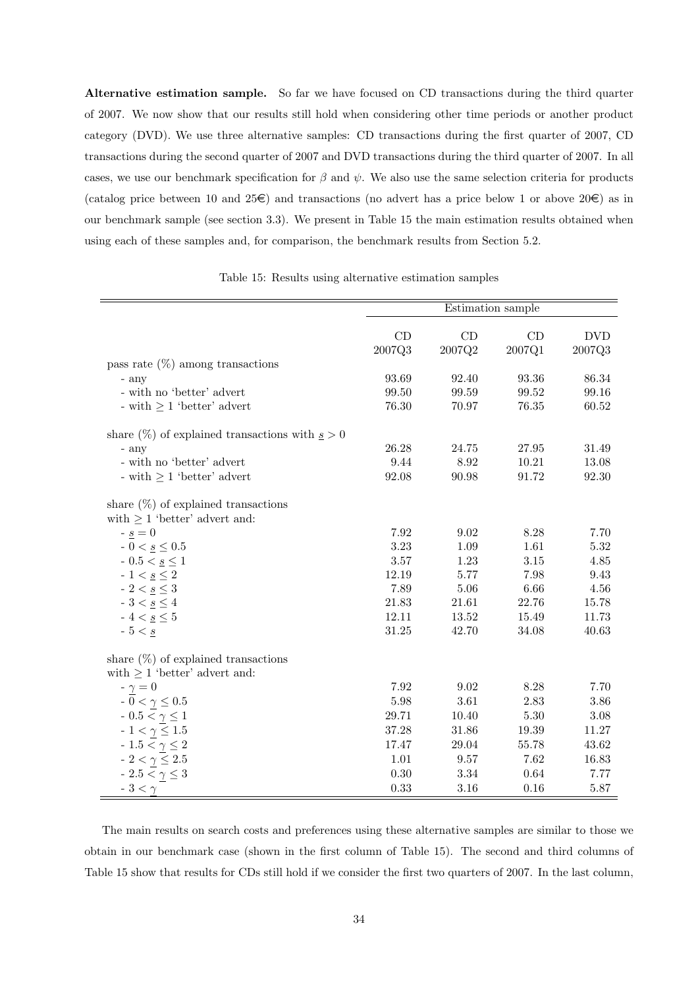Alternative estimation sample. So far we have focused on CD transactions during the third quarter of 2007. We now show that our results still hold when considering other time periods or another product category (DVD). We use three alternative samples: CD transactions during the first quarter of 2007, CD transactions during the second quarter of 2007 and DVD transactions during the third quarter of 2007. In all cases, we use our benchmark specification for  $\beta$  and  $\psi$ . We also use the same selection criteria for products (catalog price between 10 and 25 $\epsilon$ ) and transactions (no advert has a price below 1 or above 20 $\epsilon$ ) as in our benchmark sample (see section [3.3\)](#page-15-1). We present in Table [15](#page-35-0) the main estimation results obtained when using each of these samples and, for comparison, the benchmark results from Section [5.2.](#page-27-0)

<span id="page-35-0"></span>Table 15: Results using alternative estimation samples

|                                                     | Estimation sample |           |          |            |  |
|-----------------------------------------------------|-------------------|-----------|----------|------------|--|
|                                                     |                   |           |          |            |  |
|                                                     | CD                | CD        | CD       | <b>DVD</b> |  |
|                                                     | 2007Q3            | 2007Q2    | 2007Q1   | 2007Q3     |  |
| pass rate $(\%)$ among transactions                 |                   |           |          |            |  |
| - any                                               | 93.69             | 92.40     | 93.36    | 86.34      |  |
| - with no 'better' advert                           | 99.50             | 99.59     | 99.52    | 99.16      |  |
| - with $\geq 1$ 'better' advert                     | 76.30             | 70.97     | 76.35    | 60.52      |  |
| share $(\%)$ of explained transactions with $s > 0$ |                   |           |          |            |  |
| - any                                               | 26.28             | 24.75     | 27.95    | 31.49      |  |
| - with no 'better' advert                           | 9.44              | 8.92      | 10.21    | 13.08      |  |
| - with $\geq 1$ 'better' advert                     | 92.08             | 90.98     | 91.72    | 92.30      |  |
| share $(\%)$ of explained transactions              |                   |           |          |            |  |
| with $\geq 1$ 'better' advert and:                  |                   |           |          |            |  |
| $-\underline{s}=0$                                  | 7.92              | 9.02      | 8.28     | 7.70       |  |
| $-0 < \underline{s} \leq 0.5$                       | 3.23              | 1.09      | 1.61     | 5.32       |  |
| - 0.5 < $\underline{s} \leq 1$                      | 3.57              | 1.23      | 3.15     | 4.85       |  |
| - $1 < \underline{s} \leq 2$                        | 12.19             | 5.77      | 7.98     | 9.43       |  |
| - $2 < \underline{s} \leq 3$                        | 7.89              | $5.06\,$  | 6.66     | 4.56       |  |
| - $3 < \underline{s} \leq 4$                        | 21.83             | 21.61     | 22.76    | 15.78      |  |
| - $4 < \underline{s} \leq 5$                        | 12.11             | $13.52\,$ | 15.49    | 11.73      |  |
| $-5 < s$                                            | 31.25             | 42.70     | 34.08    | 40.63      |  |
| share $(\%)$ of explained transactions              |                   |           |          |            |  |
| with $\geq 1$ 'better' advert and:                  |                   |           |          |            |  |
| $-\gamma=0$                                         | 7.92              | 9.02      | 8.28     | 7.70       |  |
| - $0<\gamma\leq0.5$                                 | 5.98              | $3.61\,$  | 2.83     | 3.86       |  |
| $-0.5 < \gamma \leq 1$                              | 29.71             | 10.40     | 5.30     | $3.08\,$   |  |
| $-1 < \underline{\gamma} \leq 1.5$                  | 37.28             | $31.86\,$ | 19.39    | 11.27      |  |
| - $1.5 < \gamma \leq 2$                             | 17.47             | 29.04     | 55.78    | 43.62      |  |
| - $2<\underline{\gamma}\leq 2.5$                    | 1.01              | 9.57      | 7.62     | 16.83      |  |
| - 2.5 < $\gamma \leq 3$                             | 0.30              | 3.34      | $\,0.64$ | 7.77       |  |
| $-3 < \gamma$                                       | 0.33              | 3.16      | 0.16     | 5.87       |  |

The main results on search costs and preferences using these alternative samples are similar to those we obtain in our benchmark case (shown in the first column of Table [15\)](#page-35-0). The second and third columns of Table [15](#page-35-0) show that results for CDs still hold if we consider the first two quarters of 2007. In the last column,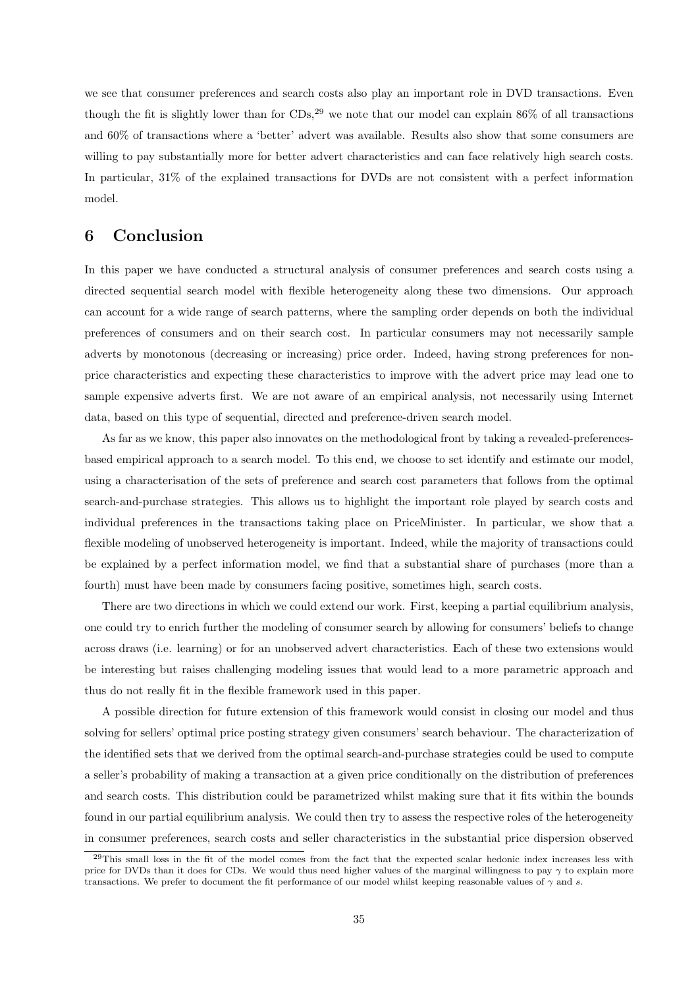we see that consumer preferences and search costs also play an important role in DVD transactions. Even though the fit is slightly lower than for  $CDs$ ,<sup>[29](#page-36-1)</sup> we note that our model can explain 86% of all transactions and 60% of transactions where a 'better' advert was available. Results also show that some consumers are willing to pay substantially more for better advert characteristics and can face relatively high search costs. In particular, 31% of the explained transactions for DVDs are not consistent with a perfect information model.

## <span id="page-36-0"></span>6 Conclusion

In this paper we have conducted a structural analysis of consumer preferences and search costs using a directed sequential search model with flexible heterogeneity along these two dimensions. Our approach can account for a wide range of search patterns, where the sampling order depends on both the individual preferences of consumers and on their search cost. In particular consumers may not necessarily sample adverts by monotonous (decreasing or increasing) price order. Indeed, having strong preferences for nonprice characteristics and expecting these characteristics to improve with the advert price may lead one to sample expensive adverts first. We are not aware of an empirical analysis, not necessarily using Internet data, based on this type of sequential, directed and preference-driven search model.

As far as we know, this paper also innovates on the methodological front by taking a revealed-preferencesbased empirical approach to a search model. To this end, we choose to set identify and estimate our model, using a characterisation of the sets of preference and search cost parameters that follows from the optimal search-and-purchase strategies. This allows us to highlight the important role played by search costs and individual preferences in the transactions taking place on PriceMinister. In particular, we show that a flexible modeling of unobserved heterogeneity is important. Indeed, while the majority of transactions could be explained by a perfect information model, we find that a substantial share of purchases (more than a fourth) must have been made by consumers facing positive, sometimes high, search costs.

There are two directions in which we could extend our work. First, keeping a partial equilibrium analysis, one could try to enrich further the modeling of consumer search by allowing for consumers' beliefs to change across draws (i.e. learning) or for an unobserved advert characteristics. Each of these two extensions would be interesting but raises challenging modeling issues that would lead to a more parametric approach and thus do not really fit in the flexible framework used in this paper.

A possible direction for future extension of this framework would consist in closing our model and thus solving for sellers' optimal price posting strategy given consumers' search behaviour. The characterization of the identified sets that we derived from the optimal search-and-purchase strategies could be used to compute a seller's probability of making a transaction at a given price conditionally on the distribution of preferences and search costs. This distribution could be parametrized whilst making sure that it fits within the bounds found in our partial equilibrium analysis. We could then try to assess the respective roles of the heterogeneity in consumer preferences, search costs and seller characteristics in the substantial price dispersion observed

<span id="page-36-1"></span><sup>&</sup>lt;sup>29</sup>This small loss in the fit of the model comes from the fact that the expected scalar hedonic index increases less with price for DVDs than it does for CDs. We would thus need higher values of the marginal willingness to pay  $\gamma$  to explain more transactions. We prefer to document the fit performance of our model whilst keeping reasonable values of  $\gamma$  and s.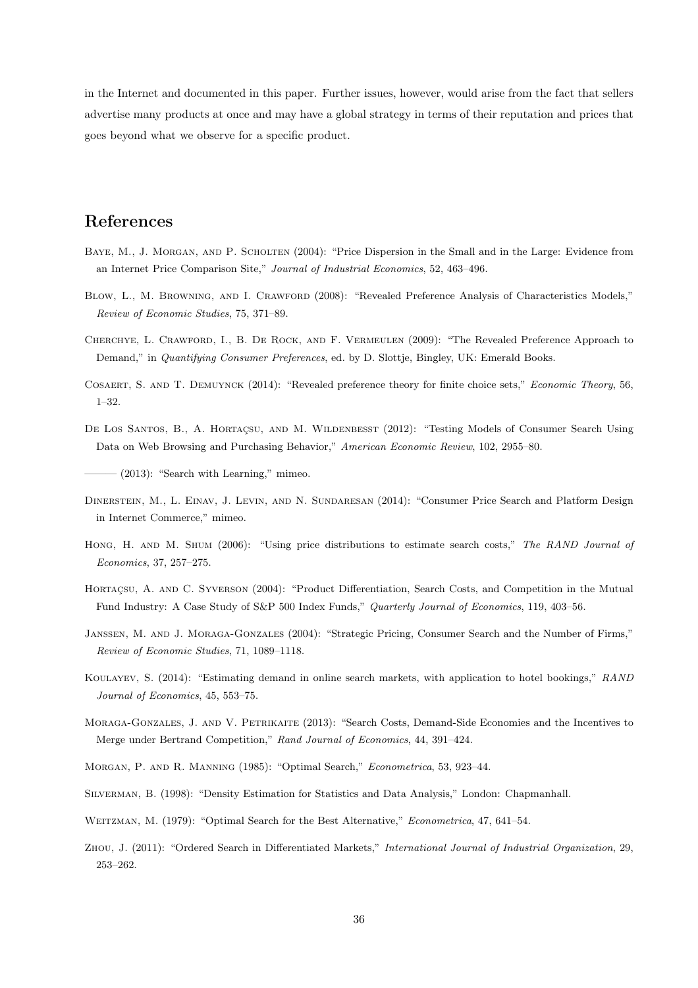in the Internet and documented in this paper. Further issues, however, would arise from the fact that sellers advertise many products at once and may have a global strategy in terms of their reputation and prices that goes beyond what we observe for a specific product.

## References

- <span id="page-37-0"></span>Baye, M., J. Morgan, and P. Scholten (2004): "Price Dispersion in the Small and in the Large: Evidence from an Internet Price Comparison Site," Journal of Industrial Economics, 52, 463–496.
- <span id="page-37-7"></span>Blow, L., M. Browning, and I. Crawford (2008): "Revealed Preference Analysis of Characteristics Models," Review of Economic Studies, 75, 371–89.
- <span id="page-37-8"></span>Cherchye, L. Crawford, I., B. De Rock, and F. Vermeulen (2009): "The Revealed Preference Approach to Demand," in Quantifying Consumer Preferences, ed. by D. Slottje, Bingley, UK: Emerald Books.
- <span id="page-37-9"></span>Cosaert, S. and T. Demuynck (2014): "Revealed preference theory for finite choice sets," Economic Theory, 56, 1–32.
- <span id="page-37-1"></span>DE LOS SANTOS, B., A. HORTAÇSU, AND M. WILDENBESST (2012): "Testing Models of Consumer Search Using Data on Web Browsing and Purchasing Behavior," American Economic Review, 102, 2955–80.

<span id="page-37-5"></span> $-(2013)$ : "Search with Learning," mimeo.

- <span id="page-37-13"></span>Dinerstein, M., L. Einav, J. Levin, and N. Sundaresan (2014): "Consumer Price Search and Platform Design in Internet Commerce," mimeo.
- <span id="page-37-2"></span>HONG, H. AND M. SHUM (2006): "Using price distributions to estimate search costs," The RAND Journal of Economics, 37, 257–275.
- <span id="page-37-3"></span>HORTACSU, A. AND C. SYVERSON (2004): "Product Differentiation, Search Costs, and Competition in the Mutual Fund Industry: A Case Study of S&P 500 Index Funds," Quarterly Journal of Economics, 119, 403–56.
- <span id="page-37-11"></span>Janssen, M. and J. Moraga-Gonzales (2004): "Strategic Pricing, Consumer Search and the Number of Firms," Review of Economic Studies, 71, 1089–1118.
- <span id="page-37-6"></span>Koulayev, S. (2014): "Estimating demand in online search markets, with application to hotel bookings," RAND Journal of Economics, 45, 553–75.
- <span id="page-37-12"></span>MORAGA-GONZALES, J. AND V. PETRIKAITE (2013): "Search Costs, Demand-Side Economies and the Incentives to Merge under Bertrand Competition," Rand Journal of Economics, 44, 391–424.
- <span id="page-37-14"></span>Morgan, P. and R. Manning (1985): "Optimal Search," Econometrica, 53, 923–44.
- <span id="page-37-15"></span>Silverman, B. (1998): "Density Estimation for Statistics and Data Analysis," London: Chapmanhall.
- <span id="page-37-4"></span>WEITZMAN, M. (1979): "Optimal Search for the Best Alternative," Econometrica, 47, 641-54.
- <span id="page-37-10"></span>Zhou, J. (2011): "Ordered Search in Differentiated Markets," International Journal of Industrial Organization, 29, 253–262.